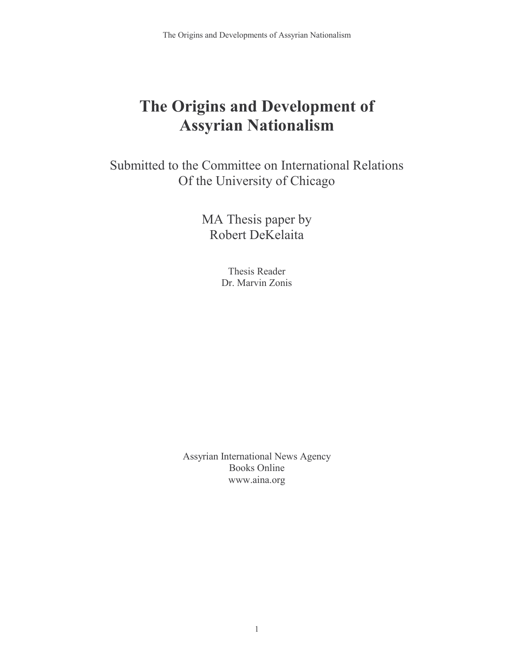# The Origins and Development of Assyrian Nationalism

Submitted to the Committee on International Relations Of the University of Chicago

> MA Thesis paper by Robert DeKelaita

> > Thesis Reader Dr. Marvin Zonis

Assyrian International News Agency Books Online www.aina.org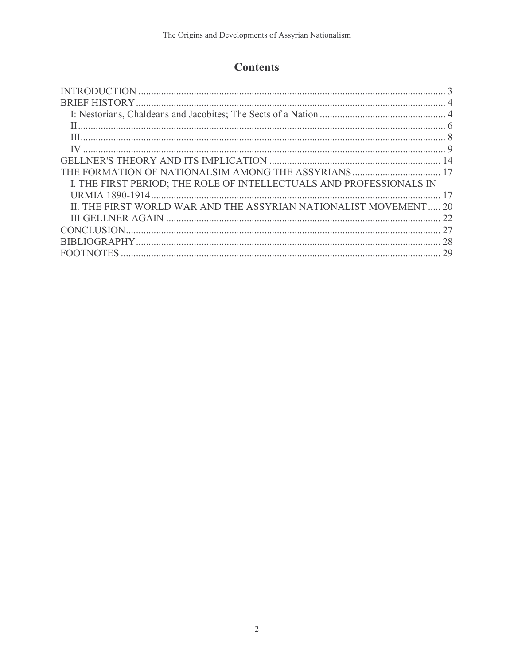## **Contents**

| I. THE FIRST PERIOD; THE ROLE OF INTELLECTUALS AND PROFESSIONALS IN |    |
|---------------------------------------------------------------------|----|
|                                                                     |    |
| II. THE FIRST WORLD WAR AND THE ASSYRIAN NATIONALIST MOVEMENT       | 20 |
|                                                                     | 22 |
|                                                                     | 27 |
|                                                                     | 28 |
|                                                                     | 29 |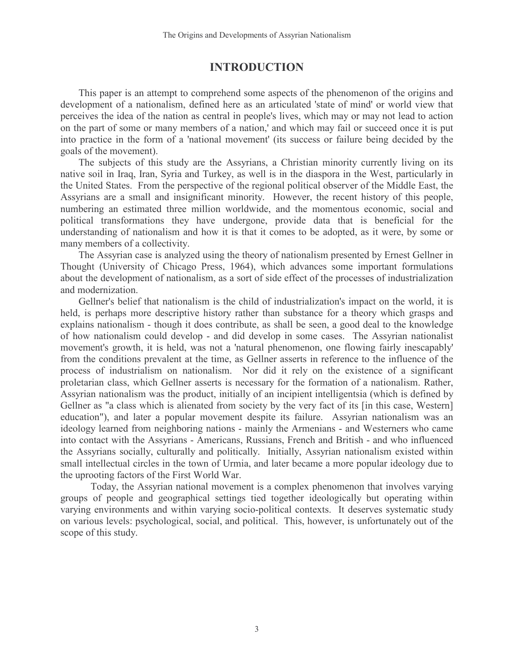## INTRODUCTION

This paper is an attempt to comprehend some aspects of the phenomenon of the origins and development of a nationalism, defined here as an articulated 'state of mind' or world view that perceives the idea of the nation as central in people's lives, which may or may not lead to action on the part of some or many members of a nation,' and which may fail or succeed once it is put into practice in the form of a 'national movement' (its success or failure being decided by the goals of the movement).

The subjects of this study are the Assyrians, a Christian minority currently living on its native soil in Iraq, Iran, Syria and Turkey, as well is in the diaspora in the West, particularly in the United States. From the perspective of the regional political observer of the Middle East, the Assyrians are a small and insignificant minority. However, the recent history of this people, numbering an estimated three million worldwide, and the momentous economic, social and political transformations they have undergone, provide data that is beneficial for the understanding of nationalism and how it is that it comes to be adopted, as it were, by some or many members of a collectivity.

The Assyrian case is analyzed using the theory of nationalism presented by Ernest Gellner in Thought (University of Chicago Press, 1964), which advances some important formulations about the development of nationalism, as a sort of side effect of the processes of industrialization and modernization.

Gellner's belief that nationalism is the child of industrialization's impact on the world, it is held, is perhaps more descriptive history rather than substance for a theory which grasps and explains nationalism - though it does contribute, as shall be seen, a good deal to the knowledge of how nationalism could develop - and did develop in some cases. The Assyrian nationalist movement's growth, it is held, was not a 'natural phenomenon, one flowing fairly inescapably' from the conditions prevalent at the time, as Gellner asserts in reference to the influence of the process of industrialism on nationalism. Nor did it rely on the existence of a significant proletarian class, which Gellner asserts is necessary for the formation of a nationalism. Rather, Assyrian nationalism was the product, initially of an incipient intelligentsia (which is defined by Gellner as "a class which is alienated from society by the very fact of its [in this case, Western] education"), and later a popular movement despite its failure. Assyrian nationalism was an ideology learned from neighboring nations - mainly the Armenians - and Westerners who came into contact with the Assyrians - Americans, Russians, French and British - and who influenced the Assyrians socially, culturally and politically. Initially, Assyrian nationalism existed within small intellectual circles in the town of Urmia, and later became a more popular ideology due to the uprooting factors of the First World War.

 Today, the Assyrian national movement is a complex phenomenon that involves varying groups of people and geographical settings tied together ideologically but operating within varying environments and within varying socio-political contexts. It deserves systematic study on various levels: psychological, social, and political. This, however, is unfortunately out of the scope of this study.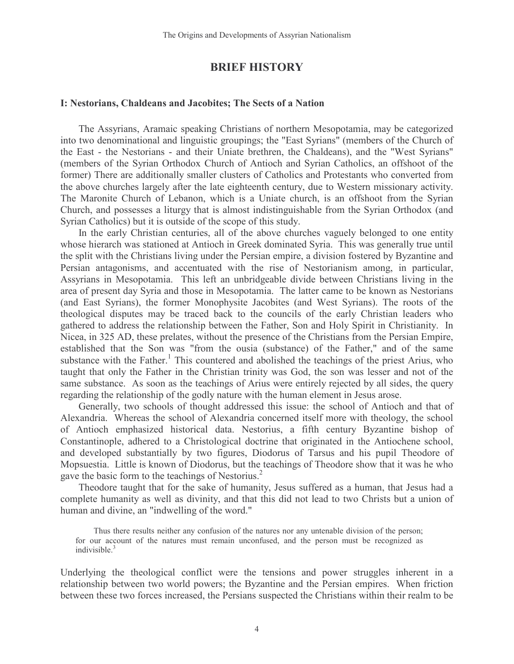### BRIEF HISTORY

#### I: Nestorians, Chaldeans and Jacobites; The Sects of a Nation

The Assyrians, Aramaic speaking Christians of northern Mesopotamia, may be categorized into two denominational and linguistic groupings; the "East Syrians" (members of the Church of the East - the Nestorians - and their Uniate brethren, the Chaldeans), and the "West Syrians" (members of the Syrian Orthodox Church of Antioch and Syrian Catholics, an offshoot of the former) There are additionally smaller clusters of Catholics and Protestants who converted from the above churches largely after the late eighteenth century, due to Western missionary activity. The Maronite Church of Lebanon, which is a Uniate church, is an offshoot from the Syrian Church, and possesses a liturgy that is almost indistinguishable from the Syrian Orthodox (and Syrian Catholics) but it is outside of the scope of this study.

In the early Christian centuries, all of the above churches vaguely belonged to one entity whose hierarch was stationed at Antioch in Greek dominated Syria. This was generally true until the split with the Christians living under the Persian empire, a division fostered by Byzantine and Persian antagonisms, and accentuated with the rise of Nestorianism among, in particular, Assyrians in Mesopotamia. This left an unbridgeable divide between Christians living in the area of present day Syria and those in Mesopotamia. The latter came to be known as Nestorians (and East Syrians), the former Monophysite Jacobites (and West Syrians). The roots of the theological disputes may be traced back to the councils of the early Christian leaders who gathered to address the relationship between the Father, Son and Holy Spirit in Christianity. In Nicea, in 325 AD, these prelates, without the presence of the Christians from the Persian Empire, established that the Son was "from the ousia (substance) of the Father," and of the same substance with the Father.<sup>1</sup> This countered and abolished the teachings of the priest Arius, who taught that only the Father in the Christian trinity was God, the son was lesser and not of the same substance. As soon as the teachings of Arius were entirely rejected by all sides, the query regarding the relationship of the godly nature with the human element in Jesus arose.

Generally, two schools of thought addressed this issue: the school of Antioch and that of Alexandria. Whereas the school of Alexandria concerned itself more with theology, the school of Antioch emphasized historical data. Nestorius, a fifth century Byzantine bishop of Constantinople, adhered to a Christological doctrine that originated in the Antiochene school, and developed substantially by two figures, Diodorus of Tarsus and his pupil Theodore of Mopsuestia. Little is known of Diodorus, but the teachings of Theodore show that it was he who gave the basic form to the teachings of Nestorius.<sup>2</sup>

Theodore taught that for the sake of humanity, Jesus suffered as a human, that Jesus had a complete humanity as well as divinity, and that this did not lead to two Christs but a union of human and divine, an "indwelling of the word."

Thus there results neither any confusion of the natures nor any untenable division of the person; for our account of the natures must remain unconfused, and the person must be recognized as indivisible.<sup>3</sup>

Underlying the theological conflict were the tensions and power struggles inherent in a relationship between two world powers; the Byzantine and the Persian empires. When friction between these two forces increased, the Persians suspected the Christians within their realm to be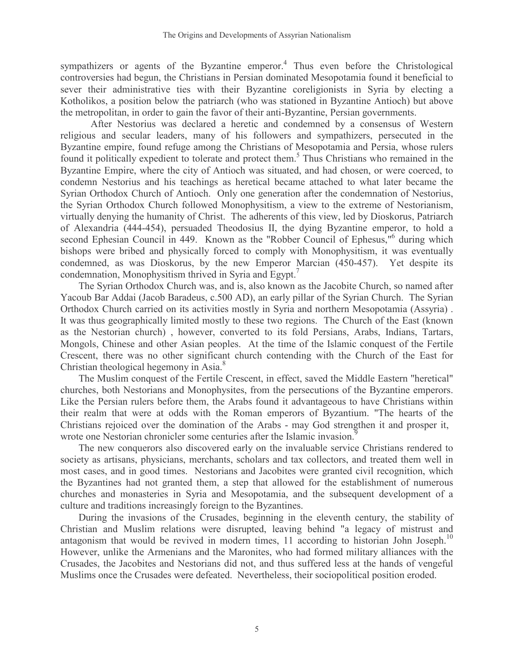sympathizers or agents of the Byzantine emperor.<sup>4</sup> Thus even before the Christological controversies had begun, the Christians in Persian dominated Mesopotamia found it beneficial to sever their administrative ties with their Byzantine coreligionists in Syria by electing a Kotholikos, a position below the patriarch (who was stationed in Byzantine Antioch) but above the metropolitan, in order to gain the favor of their anti-Byzantine, Persian governments.

After Nestorius was declared a heretic and condemned by a consensus of Western religious and secular leaders, many of his followers and sympathizers, persecuted in the Byzantine empire, found refuge among the Christians of Mesopotamia and Persia, whose rulers found it politically expedient to tolerate and protect them.<sup>5</sup> Thus Christians who remained in the Byzantine Empire, where the city of Antioch was situated, and had chosen, or were coerced, to condemn Nestorius and his teachings as heretical became attached to what later became the Syrian Orthodox Church of Antioch. Only one generation after the condemnation of Nestorius, the Syrian Orthodox Church followed Monophysitism, a view to the extreme of Nestorianism, virtually denying the humanity of Christ. The adherents of this view, led by Dioskorus, Patriarch of Alexandria (444-454), persuaded Theodosius II, the dying Byzantine emperor, to hold a second Ephesian Council in 449. Known as the "Robber Council of Ephesus,"<sup>6</sup> during which bishops were bribed and physically forced to comply with Monophysitism, it was eventually condemned, as was Dioskorus, by the new Emperor Marcian (450-457). Yet despite its condemnation, Monophysitism thrived in Syria and Egypt.<sup>7</sup>

The Syrian Orthodox Church was, and is, also known as the Jacobite Church, so named after Yacoub Bar Addai (Jacob Baradeus, c.500 AD), an early pillar of the Syrian Church. The Syrian Orthodox Church carried on its activities mostly in Syria and northern Mesopotamia (Assyria) . It was thus geographically limited mostly to these two regions. The Church of the East (known as the Nestorian church) , however, converted to its fold Persians, Arabs, Indians, Tartars, Mongols, Chinese and other Asian peoples. At the time of the Islamic conquest of the Fertile Crescent, there was no other significant church contending with the Church of the East for Christian theological hegemony in Asia.<sup>8</sup>

The Muslim conquest of the Fertile Crescent, in effect, saved the Middle Eastern "heretical" churches, both Nestorians and Monophysites, from the persecutions of the Byzantine emperors. Like the Persian rulers before them, the Arabs found it advantageous to have Christians within their realm that were at odds with the Roman emperors of Byzantium. "The hearts of the Christians rejoiced over the domination of the Arabs - may God strengthen it and prosper it,î wrote one Nestorian chronicler some centuries after the Islamic invasion.<sup>9</sup>

The new conquerors also discovered early on the invaluable service Christians rendered to society as artisans, physicians, merchants, scholars and tax collectors, and treated them well in most cases, and in good times. Nestorians and Jacobites were granted civil recognition, which the Byzantines had not granted them, a step that allowed for the establishment of numerous churches and monasteries in Syria and Mesopotamia, and the subsequent development of a culture and traditions increasingly foreign to the Byzantines.

During the invasions of the Crusades, beginning in the eleventh century, the stability of Christian and Muslim relations were disrupted, leaving behind "a legacy of mistrust and antagonism that would be revived in modern times,  $11$  according to historian John Joseph.<sup>10</sup> However, unlike the Armenians and the Maronites, who had formed military alliances with the Crusades, the Jacobites and Nestorians did not, and thus suffered less at the hands of vengeful Muslims once the Crusades were defeated. Nevertheless, their sociopolitical position eroded.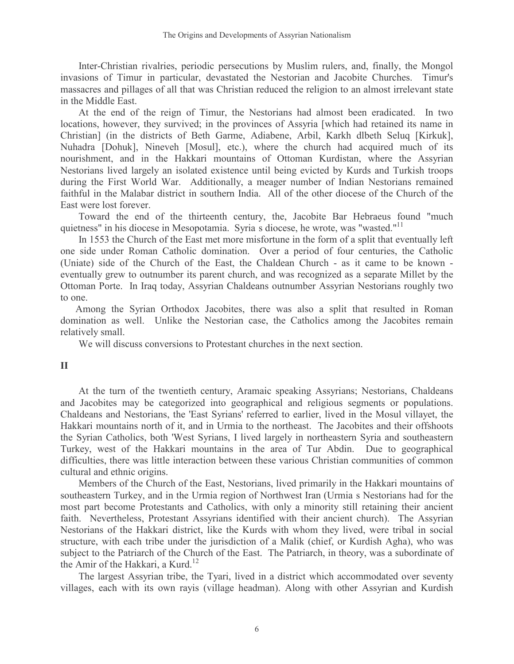Inter-Christian rivalries, periodic persecutions by Muslim rulers, and, finally, the Mongol invasions of Timur in particular, devastated the Nestorian and Jacobite Churches. Timur's massacres and pillages of all that was Christian reduced the religion to an almost irrelevant state in the Middle East.

At the end of the reign of Timur, the Nestorians had almost been eradicated. In two locations, however, they survived; in the provinces of Assyria [which had retained its name in Christian] (in the districts of Beth Garme, Adiabene, Arbil, Karkh dlbeth Seluq [Kirkuk], Nuhadra [Dohuk], Nineveh [Mosul], etc.), where the church had acquired much of its nourishment, and in the Hakkari mountains of Ottoman Kurdistan, where the Assyrian Nestorians lived largely an isolated existence until being evicted by Kurds and Turkish troops during the First World War. Additionally, a meager number of Indian Nestorians remained faithful in the Malabar district in southern India. All of the other diocese of the Church of the East were lost forever.

Toward the end of the thirteenth century, the, Jacobite Bar Hebraeus found "much quietness" in his diocese in Mesopotamia. Syriaís diocese, he wrote, was "wasted."<sup>11</sup>

In 1553 the Church of the East met more misfortune in the form of a split that eventually left one side under Roman Catholic domination. Over a period of four centuries, the Catholic (Uniate) side of the Church of the East, the Chaldean Church - as it came to be known eventually grew to outnumber its parent church, and was recognized as a separate Millet by the Ottoman Porte. In Iraq today, Assyrian Chaldeans outnumber Assyrian Nestorians roughly two to one.

Among the Syrian Orthodox Jacobites, there was also a split that resulted in Roman domination as well. Unlike the Nestorian case, the Catholics among the Jacobites remain relatively small.

We will discuss conversions to Protestant churches in the next section.

II

At the turn of the twentieth century, Aramaic speaking Assyrians; Nestorians, Chaldeans and Jacobites may be categorized into geographical and religious segments or populations. Chaldeans and Nestorians, the 'East Syrians' referred to earlier, lived in the Mosul villayet, the Hakkari mountains north of it, and in Urmia to the northeast. The Jacobites and their offshoots the Syrian Catholics, both 'West Syrians, I lived largely in northeastern Syria and southeastern Turkey, west of the Hakkari mountains in the area of Tur Abdin. Due to geographical difficulties, there was little interaction between these various Christian communities of common cultural and ethnic origins.

Members of the Church of the East, Nestorians, lived primarily in the Hakkari mountains of southeastern Turkey, and in the Urmia region of Northwest Iran (Urmiaís Nestorians had for the most part become Protestants and Catholics, with only a minority still retaining their ancient faith. Nevertheless, Protestant Assyrians identified with their ancient church). The Assyrian Nestorians of the Hakkari district, like the Kurds with whom they lived, were tribal in social structure, with each tribe under the jurisdiction of a Malik (chief, or Kurdish Agha), who was subject to the Patriarch of the Church of the East. The Patriarch, in theory, was a subordinate of the Amir of the Hakkari, a Kurd.<sup>12</sup>

The largest Assyrian tribe, the Tyari, lived in a district which accommodated over seventy villages, each with its own rayis (village headman). Along with other Assyrian and Kurdish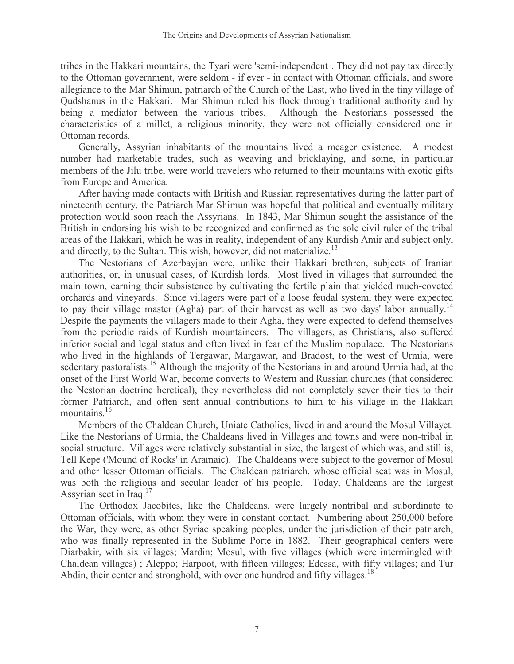tribes in the Hakkari mountains, the Tyari were 'semi-independentí. They did not pay tax directly to the Ottoman government, were seldom - if ever - in contact with Ottoman officials, and swore allegiance to the Mar Shimun, patriarch of the Church of the East, who lived in the tiny village of Qudshanus in the Hakkari. Mar Shimun ruled his flock through traditional authority and by being a mediator between the various tribes. Although the Nestorians possessed the characteristics of a millet, a religious minority, they were not officially considered one in Ottoman records.

Generally, Assyrian inhabitants of the mountains lived a meager existence. A modest number had marketable trades, such as weaving and bricklaying, and some, in particular members of the Jilu tribe, were world travelers who returned to their mountains with exotic gifts from Europe and America.

After having made contacts with British and Russian representatives during the latter part of nineteenth century, the Patriarch Mar Shimun was hopeful that political and eventually military protection would soon reach the Assyrians. In 1843, Mar Shimun sought the assistance of the British in endorsing his wish to be recognized and confirmed as the sole civil ruler of the tribal areas of the Hakkari, which he was in reality, independent of any Kurdish Amir and subject only, and directly, to the Sultan. This wish, however, did not materialize.<sup>13</sup>

The Nestorians of Azerbayjan were, unlike their Hakkari brethren, subjects of Iranian authorities, or, in unusual cases, of Kurdish lords. Most lived in villages that surrounded the main town, earning their subsistence by cultivating the fertile plain that yielded much-coveted orchards and vineyards. Since villagers were part of a loose feudal system, they were expected to pay their village master (Agha) part of their harvest as well as two days' labor annually.<sup>14</sup> Despite the payments the villagers made to their Agha, they were expected to defend themselves from the periodic raids of Kurdish mountaineers. The villagers, as Christians, also suffered inferior social and legal status and often lived in fear of the Muslim populace. The Nestorians who lived in the highlands of Tergawar, Margawar, and Bradost, to the west of Urmia, were sedentary pastoralists.<sup>15</sup> Although the majority of the Nestorians in and around Urmia had, at the onset of the First World War, become converts to Western and Russian churches (that considered the Nestorian doctrine heretical), they nevertheless did not completely sever their ties to their former Patriarch, and often sent annual contributions to him to his village in the Hakkari mountains.<sup>16</sup>

Members of the Chaldean Church, Uniate Catholics, lived in and around the Mosul Villayet. Like the Nestorians of Urmia, the Chaldeans lived in Villages and towns and were non-tribal in social structure. Villages were relatively substantial in size, the largest of which was, and still is, Tell Kepe ('Mound of Rocks' in Aramaic). The Chaldeans were subject to the governor of Mosul and other lesser Ottoman officials. The Chaldean patriarch, whose official seat was in Mosul, was both the religious and secular leader of his people. Today, Chaldeans are the largest Assyrian sect in Iraq.<sup>17</sup>

The Orthodox Jacobites, like the Chaldeans, were largely nontribal and subordinate to Ottoman officials, with whom they were in constant contact. Numbering about 250,000 before the War, they were, as other Syriac speaking peoples, under the jurisdiction of their patriarch, who was finally represented in the Sublime Porte in 1882. Their geographical centers were Diarbakir, with six villages; Mardin; Mosul, with five villages (which were intermingled with Chaldean villages) ; Aleppo; Harpoot, with fifteen villages; Edessa, with fifty villages; and Tur Abdin, their center and stronghold, with over one hundred and fifty villages.<sup>18</sup>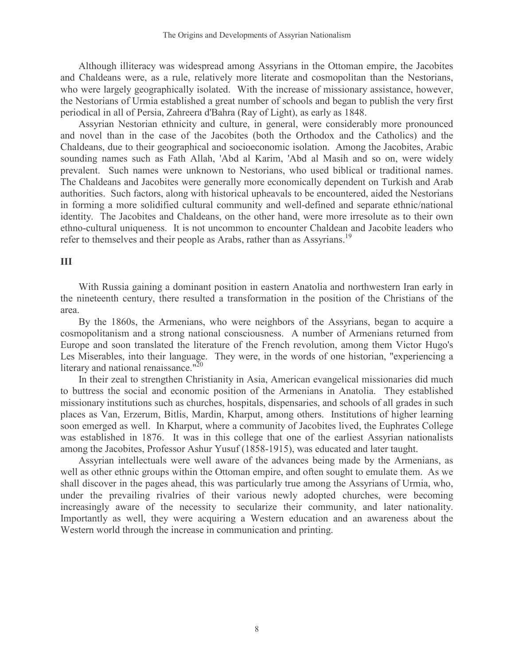Although illiteracy was widespread among Assyrians in the Ottoman empire, the Jacobites and Chaldeans were, as a rule, relatively more literate and cosmopolitan than the Nestorians, who were largely geographically isolated. With the increase of missionary assistance, however, the Nestorians of Urmia established a great number of schools and began to publish the very first periodical in all of Persia, Zahreera d'Bahra (Ray of Light), as early as 1848.

Assyrian Nestorian ethnicity and culture, in general, were considerably more pronounced and novel than in the case of the Jacobites (both the Orthodox and the Catholics) and the Chaldeans, due to their geographical and socioeconomic isolation. Among the Jacobites, Arabic sounding names such as Fath Allah, 'Abd al Karim, 'Abd al Masih and so on, were widely prevalent. Such names were unknown to Nestorians, who used biblical or traditional names. The Chaldeans and Jacobites were generally more economically dependent on Turkish and Arab authorities. Such factors, along with historical upheavals to be encountered, aided the Nestorians in forming a more solidified cultural community and well-defined and separate ethnic/national identity. The Jacobites and Chaldeans, on the other hand, were more irresolute as to their own ethno-cultural uniqueness. It is not uncommon to encounter Chaldean and Jacobite leaders who refer to themselves and their people as Arabs, rather than as Assyrians.<sup>19</sup>

#### III

With Russia gaining a dominant position in eastern Anatolia and northwestern Iran early in the nineteenth century, there resulted a transformation in the position of the Christians of the area.

By the 1860s, the Armenians, who were neighbors of the Assyrians, began to acquire a cosmopolitanism and a strong national consciousness. A number of Armenians returned from Europe and soon translated the literature of the French revolution, among them Victor Hugo's Les Miserables, into their language. They were, in the words of one historian, "experiencing a literary and national renaissance."<sup>20</sup>

In their zeal to strengthen Christianity in Asia, American evangelical missionaries did much to buttress the social and economic position of the Armenians in Anatolia. They established missionary institutions such as churches, hospitals, dispensaries, and schools of all grades in such places as Van, Erzerum, Bitlis, Mardin, Kharput, among others. Institutions of higher learning soon emerged as well. In Kharput, where a community of Jacobites lived, the Euphrates College was established in 1876. It was in this college that one of the earliest Assyrian nationalists among the Jacobites, Professor Ashur Yusuf (1858-1915), was educated and later taught.

Assyrian intellectuals were well aware of the advances being made by the Armenians, as well as other ethnic groups within the Ottoman empire, and often sought to emulate them. As we shall discover in the pages ahead, this was particularly true among the Assyrians of Urmia, who, under the prevailing rivalries of their various newly adopted churches, were becoming increasingly aware of the necessity to secularize their community, and later nationality. Importantly as well, they were acquiring a Western education and an awareness about the Western world through the increase in communication and printing.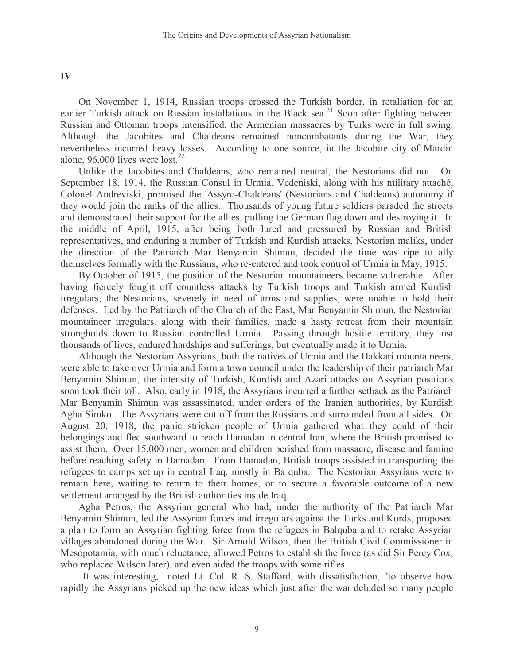#### IV

On November 1, 1914, Russian troops crossed the Turkish border, in retaliation for an earlier Turkish attack on Russian installations in the Black sea.<sup>21</sup> Soon after fighting between Russian and Ottoman troops intensified, the Armenian massacres by Turks were in full swing. Although the Jacobites and Chaldeans remained noncombatants during the War, they nevertheless incurred heavy losses. According to one source, in the Jacobite city of Mardin alone, 96,000 lives were lost.<sup>22</sup>

Unlike the Jacobites and Chaldeans, who remained neutral, the Nestorians did not. On September 18, 1914, the Russian Consul in Urmia, Vedeniski, along with his military attaché, Colonel Andreviski, promised the 'Assyro-Chaldeans' (Nestorians and Chaldeans) autonomy if they would join the ranks of the allies. Thousands of young future soldiers paraded the streets and demonstrated their support for the allies, pulling the German flag down and destroying it. In the middle of April, 1915, after being both lured and pressured by Russian and British representatives, and enduring a number of Turkish and Kurdish attacks, Nestorian maliks, under the direction of the Patriarch Mar Benyamin Shimun, decided the time was ripe to ally themselves formally with the Russians, who re-entered and took control of Urmia in May, 1915.

By October of 1915, the position of the Nestorian mountaineers became vulnerable. After having fiercely fought off countless attacks by Turkish troops and Turkish armed Kurdish irregulars, the Nestorians, severely in need of arms and supplies, were unable to hold their defenses. Led by the Patriarch of the Church of the East, Mar Benyamin Shimun, the Nestorian mountaineer irregulars, along with their families, made a hasty retreat from their mountain strongholds down to Russian controlled Urmia. Passing through hostile territory, they lost thousands of lives, endured hardships and sufferings, but eventually made it to Urmia.

Although the Nestorian Assyrians, both the natives of Urmia and the Hakkari mountaineers, were able to take over Urmia and form a town council under the leadership of their patriarch Mar Benyamin Shimun, the intensity of Turkish, Kurdish and Azari attacks on Assyrian positions soon took their toll. Also, early in 1918, the Assyrians incurred a further setback as the Patriarch Mar Benyamin Shimun was assassinated, under orders of the Iranian authorities, by Kurdish Agha Simko. The Assyrians were cut off from the Russians and surrounded from all sides. On August 20, 1918, the panic stricken people of Urmia gathered what they could of their belongings and fled southward to reach Hamadan in central Iran, where the British promised to assist them. Over 15,000 men, women and children perished from massacre, disease and famine before reaching safety in Hamadan. From Hamadan, British troops assisted in transporting the refugees to camps set up in central Iraq, mostly in Baíquba. The Nestorian Assyrians were to remain here, waiting to return to their homes, or to secure a favorable outcome of a new settlement arranged by the British authorities inside Iraq.

Agha Petros, the Assyrian general who had, under the authority of the Patriarch Mar Benyamin Shimun, led the Assyrian forces and irregulars against the Turks and Kurds, proposed a plan to form an Assyrian fighting force from the refugees in Balquba and to retake Assyrian villages abandoned during the War. Sir Arnold Wilson, then the British Civil Commissioner in Mesopotamia, with much reluctance, allowed Petros to establish the force (as did Sir Percy Cox, who replaced Wilson later), and even aided the troops with some rifles.

ìIt was interesting,î noted Lt. Col. R. S. Stafford, with dissatisfaction, "to observe how rapidly the Assyrians picked up the new ideas which just after the war deluded so many people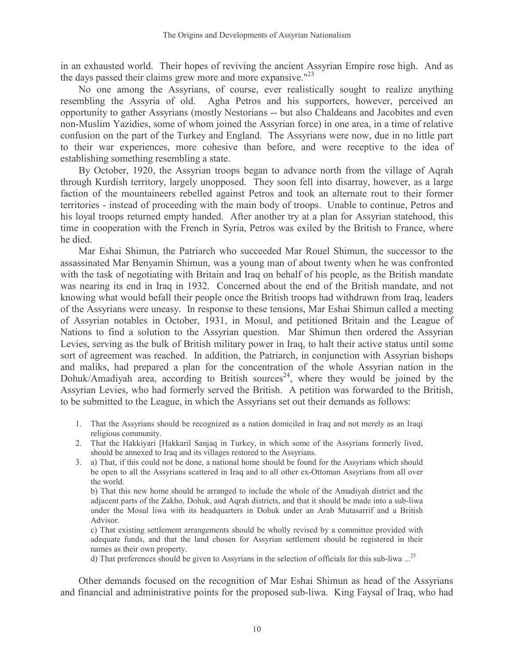in an exhausted world. Their hopes of reviving the ancient Assyrian Empire rose high. And as the days passed their claims grew more and more expansive." $^{23}$ 

No one among the Assyrians, of course, ever realistically sought to realize anything resembling the Assyria of old. Agha Petros and his supporters, however, perceived an opportunity to gather Assyrians (mostly Nestorians -- but also Chaldeans and Jacobites and even non-Muslim Yazidies, some of whom joined the Assyrian force) in one area, in a time of relative confusion on the part of the Turkey and England. The Assyrians were now, due in no little part to their war experiences, more cohesive than before, and were receptive to the idea of establishing something resembling a state.

By October, 1920, the Assyrian troops began to advance north from the village of Aqrah through Kurdish territory, largely unopposed. They soon fell into disarray, however, as a large faction of the mountaineers rebelled against Petros and took an alternate rout to their former territories - instead of proceeding with the main body of troops. Unable to continue, Petros and his loyal troops returned empty handed. After another try at a plan for Assyrian statehood, this time in cooperation with the French in Syria, Petros was exiled by the British to France, where he died.

Mar Eshai Shimun, the Patriarch who succeeded Mar Rouel Shimun, the successor to the assassinated Mar Benyamin Shimun, was a young man of about twenty when he was confronted with the task of negotiating with Britain and Iraq on behalf of his people, as the British mandate was nearing its end in Iraq in 1932. Concerned about the end of the British mandate, and not knowing what would befall their people once the British troops had withdrawn from Iraq, leaders of the Assyrians were uneasy. In response to these tensions, Mar Eshai Shimun called a meeting of Assyrian notables in October, 1931, in Mosul, and petitioned Britain and the League of Nations to find a solution to the Assyrian question. Mar Shimun then ordered the Assyrian Levies, serving as the bulk of British military power in Iraq, to halt their active status until some sort of agreement was reached. In addition, the Patriarch, in conjunction with Assyrian bishops and maliks, had prepared a plan for the concentration of the whole Assyrian nation in the Dohuk/Amadiyah area, according to British sources<sup>24</sup>, where they would be joined by the Assyrian Levies, who had formerly served the British. A petition was forwarded to the British, to be submitted to the League, in which the Assyrians set out their demands as follows:

- 1. That the Assyrians should be recognized as a nation domiciled in Iraq and not merely as an Iraqi religious community.
- 2. That the Hakkiyari [Hakkaril Sanjaq in Turkey, in which some of the Assyrians formerly lived, should be annexed to Iraq and its villages restored to the Assyrians.
- 3. a) That, if this could not be done, a national home should be found for the Assyrians which should be open to all the Assyrians scattered in Iraq and to all other ex-Ottoman Assyrians from all over the world.

b) That this new home should be arranged to include the whole of the Amadiyah district and the adjacent parts of the Zakho, Dohuk, and Aqrah districts, and that it should be made into a sub-liwa under the Mosul liwa with its headquarters in Dohuk under an Arab Mutasarrif and a British Advisor.

c) That existing settlement arrangements should be wholly revised by a committee provided with adequate funds, and that the land chosen for Assyrian settlement should be registered in their names as their own property.

d) That preferences should be given to Assyrians in the selection of officials for this sub-liwa ...<sup>25</sup>

Other demands focused on the recognition of Mar Eshai Shimun as head of the Assyrians and financial and administrative points for the proposed sub-liwa. King Faysal of Iraq, who had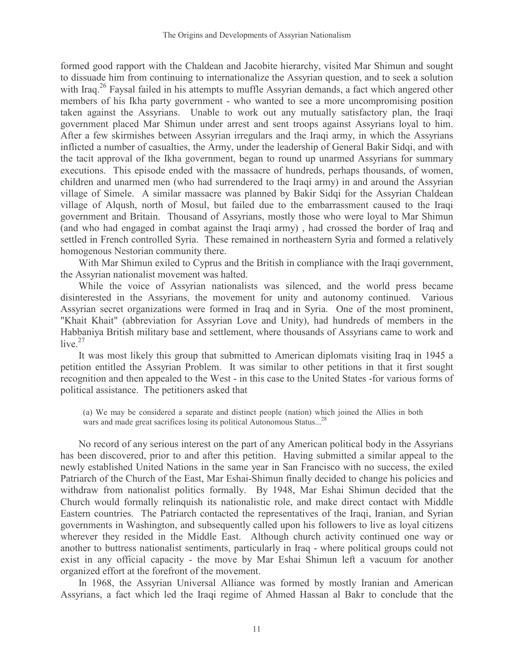formed good rapport with the Chaldean and Jacobite hierarchy, visited Mar Shimun and sought to dissuade him from continuing to internationalize the Assyrian question, and to seek a solution with Iraq.<sup>26</sup> Faysal failed in his attempts to muffle Assyrian demands, a fact which angered other members of his Ikha party government - who wanted to see a more uncompromising position taken against the Assyrians. Unable to work out any mutually satisfactory plan, the Iraqi government placed Mar Shimun under arrest and sent troops against Assyrians loyal to him. After a few skirmishes between Assyrian irregulars and the Iraqi army, in which the Assyrians inflicted a number of casualties, the Army, under the leadership of General Bakir Sidqi, and with the tacit approval of the Ikha government, began to round up unarmed Assyrians for summary executions. This episode ended with the massacre of hundreds, perhaps thousands, of women, children and unarmed men (who had surrendered to the Iraqi army) in and around the Assyrian village of Simele. A similar massacre was planned by Bakir Sidqi for the Assyrian Chaldean village of Alqush, north of Mosul, but failed due to the embarrassment caused to the Iraqi government and Britain. Thousand of Assyrians, mostly those who were loyal to Mar Shimun (and who had engaged in combat against the Iraqi army) , had crossed the border of Iraq and settled in French controlled Syria. These remained in northeastern Syria and formed a relatively homogenous Nestorian community there.

With Mar Shimun exiled to Cyprus and the British in compliance with the Iraqi government, the Assyrian nationalist movement was halted.

While the voice of Assyrian nationalists was silenced, and the world press became disinterested in the Assyrians, the movement for unity and autonomy continued. Various Assyrian secret organizations were formed in Iraq and in Syria. One of the most prominent, "Khait Khait" (abbreviation for Assyrian Love and Unity), had hundreds of members in the Habbaniya British military base and settlement, where thousands of Assyrians came to work and live. $27$ 

It was most likely this group that submitted to American diplomats visiting Iraq in 1945 a petition entitled the Assyrian Problem. It was similar to other petitions in that it first sought recognition and then appealed to the West - in this case to the United States -for various forms of political assistance. The petitioners asked that

(a) We may be considered a separate and distinct people (nation) which joined the Allies in both wars and made great sacrifices losing its political Autonomous Status...<sup>28</sup>

No record of any serious interest on the part of any American political body in the Assyrians has been discovered, prior to and after this petition. Having submitted a similar appeal to the newly established United Nations in the same year in San Francisco with no success, the exiled Patriarch of the Church of the East, Mar Eshai-Shimun finally decided to change his policies and withdraw from nationalist politics formally. By 1948, Mar Eshai Shimun decided that the Church would formally relinquish its nationalistic role, and make direct contact with Middle Eastern countries. The Patriarch contacted the representatives of the Iraqi, Iranian, and Syrian governments in Washington, and subsequently called upon his followers to live as loyal citizens wherever they resided in the Middle East. Although church activity continued one way or another to buttress nationalist sentiments, particularly in Iraq - where political groups could not exist in any official capacity - the move by Mar Eshai Shimun left a vacuum for another organized effort at the forefront of the movement.

In 1968, the Assyrian Universal Alliance was formed by mostly Iranian and American Assyrians, a fact which led the Iraqi regime of Ahmed Hassan al Bakr to conclude that the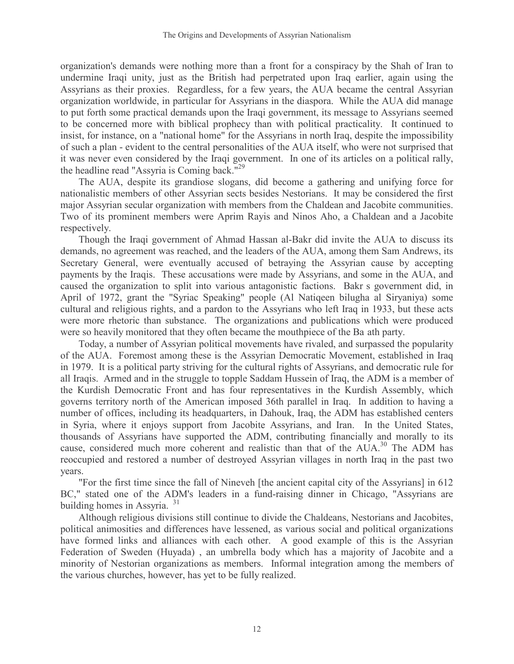organization's demands were nothing more than a front for a conspiracy by the Shah of Iran to undermine Iraqi unity, just as the British had perpetrated upon Iraq earlier, again using the Assyrians as their proxies. Regardless, for a few years, the AUA became the central Assyrian organization worldwide, in particular for Assyrians in the diaspora. While the AUA did manage to put forth some practical demands upon the Iraqi government, its message to Assyrians seemed to be concerned more with biblical prophecy than with political practicality. It continued to insist, for instance, on a "national home" for the Assyrians in north Iraq, despite the impossibility of such a plan - evident to the central personalities of the AUA itself, who were not surprised that it was never even considered by the Iraqi government. In one of its articles on a political rally, the headline read "Assyria is Coming back."<sup>29</sup>

The AUA, despite its grandiose slogans, did become a gathering and unifying force for nationalistic members of other Assyrian sects besides Nestorians. It may be considered the first major Assyrian secular organization with members from the Chaldean and Jacobite communities. Two of its prominent members were Aprim Rayis and Ninos Aho, a Chaldean and a Jacobite respectively.

Though the Iraqi government of Ahmad Hassan al-Bakr did invite the AUA to discuss its demands, no agreement was reached, and the leaders of the AUA, among them Sam Andrews, its Secretary General, were eventually accused of betraying the Assyrian cause by accepting payments by the Iraqis. These accusations were made by Assyrians, and some in the AUA, and caused the organization to split into various antagonistic factions. Bakrís government did, in April of 1972, grant the "Syriac Speaking" people (Al Natiqeen bilugha al Siryaniya) some cultural and religious rights, and a pardon to the Assyrians who left Iraq in 1933, but these acts were more rhetoric than substance. The organizations and publications which were produced were so heavily monitored that they often became the mouthpiece of the Baíath party.

Today, a number of Assyrian political movements have rivaled, and surpassed the popularity of the AUA. Foremost among these is the Assyrian Democratic Movement, established in Iraq in 1979. It is a political party striving for the cultural rights of Assyrians, and democratic rule for all Iraqis. Armed and in the struggle to topple Saddam Hussein of Iraq, the ADM is a member of the Kurdish Democratic Front and has four representatives in the Kurdish Assembly, which governs territory north of the American imposed 36th parallel in Iraq. In addition to having a number of offices, including its headquarters, in Dahouk, Iraq, the ADM has established centers in Syria, where it enjoys support from Jacobite Assyrians, and Iran. In the United States, thousands of Assyrians have supported the ADM, contributing financially and morally to its cause, considered much more coherent and realistic than that of the AUA.<sup>30</sup> The ADM has reoccupied and restored a number of destroyed Assyrian villages in north Iraq in the past two years.

"For the first time since the fall of Nineveh [the ancient capital city of the Assyrians] in 612 BC," stated one of the ADM's leaders in a fund-raising dinner in Chicago, "Assyrians are building homes in Assyria. $i^{31}$ 

Although religious divisions still continue to divide the Chaldeans, Nestorians and Jacobites, political animosities and differences have lessened, as various social and political organizations have formed links and alliances with each other. A good example of this is the Assyrian Federation of Sweden (Huyada) , an umbrella body which has a majority of Jacobite and a minority of Nestorian organizations as members. Informal integration among the members of the various churches, however, has yet to be fully realized.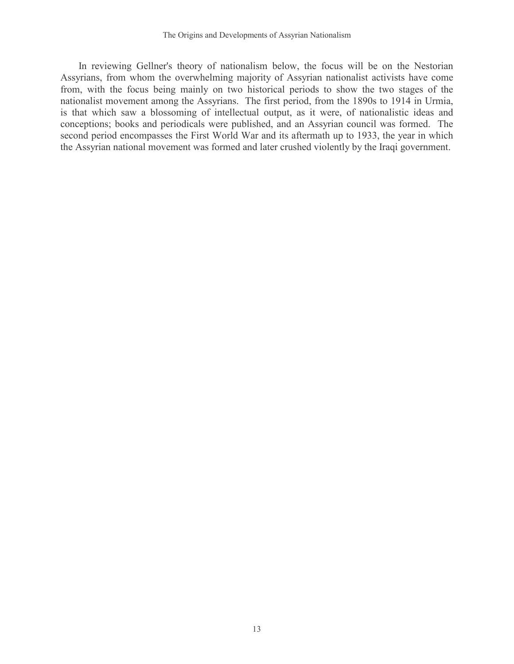In reviewing Gellner's theory of nationalism below, the focus will be on the Nestorian Assyrians, from whom the overwhelming majority of Assyrian nationalist activists have come from, with the focus being mainly on two historical periods to show the two stages of the nationalist movement among the Assyrians. The first period, from the 1890s to 1914 in Urmia, is that which saw a blossoming of intellectual output, as it were, of nationalistic ideas and conceptions; books and periodicals were published, and an Assyrian council was formed. The second period encompasses the First World War and its aftermath up to 1933, the year in which the Assyrian national movement was formed and later crushed violently by the Iraqi government.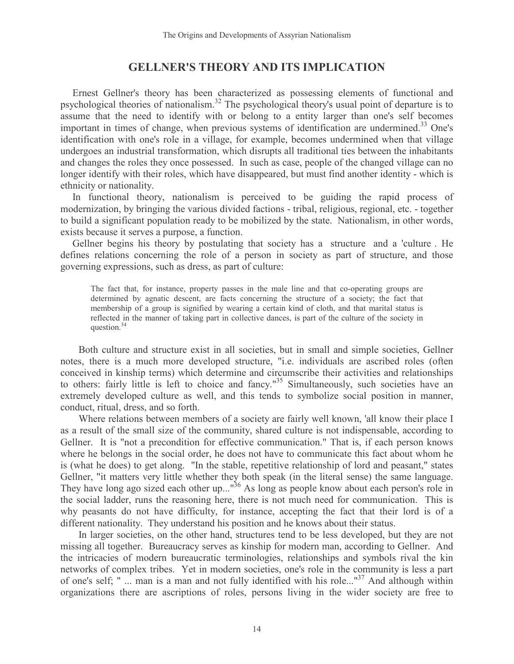### GELLNER'S THEORY AND ITS IMPLICATION

Ernest Gellner's theory has been characterized as possessing elements of functional and psychological theories of nationalism.<sup>32</sup> The psychological theory's usual point of departure is to assume that the need to identify with or belong to a entity larger than one's self becomes important in times of change, when previous systems of identification are undermined.<sup>33</sup> One's identification with one's role in a village, for example, becomes undermined when that village undergoes an industrial transformation, which disrupts all traditional ties between the inhabitants and changes the roles they once possessed. In such as case, people of the changed village can no longer identify with their roles, which have disappeared, but must find another identity - which is ethnicity or nationality.

In functional theory, nationalism is perceived to be guiding the rapid process of modernization, by bringing the various divided factions - tribal, religious, regional, etc. - together to build a significant population ready to be mobilized by the state. Nationalism, in other words, exists because it serves a purpose, a function.

Gellner begins his theory by postulating that society has a ëstructureí and a 'cultureí. He defines relations concerning the role of a person in society as part of structure, and those governing expressions, such as dress, as part of culture:

The fact that, for instance, property passes in the male line and that co-operating groups are determined by agnatic descent, are facts concerning the structure of a society; the fact that membership of a group is signified by wearing a certain kind of cloth, and that marital status is reflected in the manner of taking part in collective dances, is part of the culture of the society in question.<sup>34</sup>

Both culture and structure exist in all societies, but in small and simple societies, Gellner notes, there is a much more developed structure, "i.e. individuals are ascribed roles (often conceived in kinship terms) which determine and circumscribe their activities and relationships to others: fairly little is left to choice and fancy."<sup>35</sup> Simultaneously, such societies have an extremely developed culture as well, and this tends to symbolize social position in manner, conduct, ritual, dress, and so forth.

Where relations between members of a society are fairly well known, 'all know their place I as a result of the small size of the community, shared culture is not indispensable, according to Gellner. It is "not a precondition for effective communication." That is, if each person knows where he belongs in the social order, he does not have to communicate this fact about whom he is (what he does) to get along. "In the stable, repetitive relationship of lord and peasant," states Gellner, "it matters very little whether they both speak (in the literal sense) the same language. They have long ago sized each other up..."<sup>36</sup> As long as people know about each person's role in the social ladder, runs the reasoning here, there is not much need for communication. This is why peasants do not have difficulty, for instance, accepting the fact that their lord is of a different nationality. They understand his position and he knows about their status.

In larger societies, on the other hand, structures tend to be less developed, but they are not missing all together. Bureaucracy serves as kinship for modern man, according to Gellner. And the intricacies of modern bureaucratic terminologies, relationships and symbols rival the kin networks of complex tribes. Yet in modern societies, one's role in the community is less a part of one's self; " ... man is a man and not fully identified with his role..."<sup>37</sup> And although within organizations there are ascriptions of roles, persons living in the wider society are free to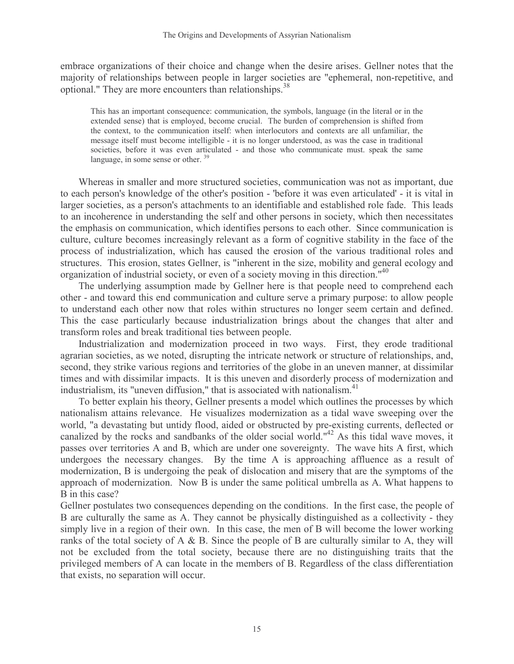embrace organizations of their choice and change when the desire arises. Gellner notes that the majority of relationships between people in larger societies are "ephemeral, non-repetitive, and optional." They are more encounters than relationships.<sup>38</sup>

This has an important consequence: communication, the symbols, language (in the literal or in the extended sense) that is employed, become crucial. The burden of comprehension is shifted from the context, to the communication itself: when interlocutors and contexts are all unfamiliar, the message itself must become intelligible - it is no longer understood, as was the case in traditional societies, before it was even articulated - and those who communicate must. speak the same language, in some sense or other.<sup>39</sup>

Whereas in smaller and more structured societies, communication was not as important, due to each person's knowledge of the other's position - 'before it was even articulated' - it is vital in larger societies, as a person's attachments to an identifiable and established role fade. This leads to an incoherence in understanding the self and other persons in society, which then necessitates the emphasis on communication, which identifies persons to each other. Since communication is culture, culture becomes increasingly relevant as a form of cognitive stability in the face of the process of industrialization, which has caused the erosion of the various traditional roles and structures. This erosion, states Gellner, is "inherent in the size, mobility and general ecology and organization of industrial society, or even of a society moving in this direction."<sup>40</sup>

The underlying assumption made by Gellner here is that people need to comprehend each other - and toward this end communication and culture serve a primary purpose: to allow people to understand each other now that roles within structures no longer seem certain and defined. This the case particularly because industrialization brings about the changes that alter and transform roles and break traditional ties between people.

Industrialization and modernization proceed in two ways. First, they erode traditional agrarian societies, as we noted, disrupting the intricate network or structure of relationships, and, second, they strike various regions and territories of the globe in an uneven manner, at dissimilar times and with dissimilar impacts. It is this uneven and disorderly process of modernization and industrialism, its "uneven diffusion," that is associated with nationalism.<sup>41</sup>

To better explain his theory, Gellner presents a model which outlines the processes by which nationalism attains relevance. He visualizes modernization as a tidal wave sweeping over the world, "a devastating but untidy flood, aided or obstructed by pre-existing currents, deflected or canalized by the rocks and sandbanks of the older social world."<sup>42</sup> As this tidal wave moves, it passes over territories A and B, which are under one sovereignty. The wave hits A first, which undergoes the necessary changes. By the time A is approaching affluence as a result of modernization, B is undergoing the peak of dislocation and misery that are the symptoms of the approach of modernization. Now B is under the same political umbrella as A. What happens to B in this case?

Gellner postulates two consequences depending on the conditions. In the first case, the people of B are culturally the same as A. They cannot be physically distinguished as a collectivity - they simply live in a region of their own. In this case, the men of B will become the lower working ranks of the total society of A  $\&$  B. Since the people of B are culturally similar to A, they will not be excluded from the total society, because there are no distinguishing traits that the privileged members of A can locate in the members of B. Regardless of the class differentiation that exists, no separation will occur.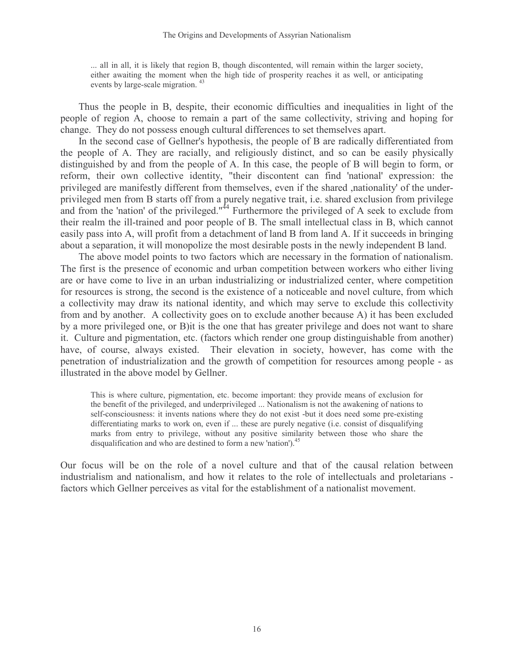... all in all, it is likely that region B, though discontented, will remain within the larger society, either awaiting the moment when the high tide of prosperity reaches it as well, or anticipating events by large-scale migration. <sup>43</sup>

Thus the people in B, despite, their economic difficulties and inequalities in light of the people of region A, choose to remain a part of the same collectivity, striving and hoping for change. They do not possess enough cultural differences to set themselves apart.

In the second case of Gellner's hypothesis, the people of B are radically differentiated from the people of A. They are racially, and religiously distinct, and so can be easily physically distinguished by and from the people of A. In this case, the people of B will begin to form, or reform, their own collective identity, "their discontent can find 'national' expression: the privileged are manifestly different from themselves, even if the shared ,nationality' of the underprivileged men from B starts off from a purely negative trait, i.e. shared exclusion from privilege and from the 'nation' of the privileged."<sup>44</sup> Furthermore the privileged of A seek to exclude from their realm the ill-trained and poor people of B. The small intellectual class in B, which cannot easily pass into A, will profit from a detachment of land B from land A. If it succeeds in bringing about a separation, it will monopolize the most desirable posts in the newly independent B land.

The above model points to two factors which are necessary in the formation of nationalism. The first is the presence of economic and urban competition between workers who either living are or have come to live in an urban industrializing or industrialized center, where competition for resources is strong, the second is the existence of a noticeable and novel culture, from which a collectivity may draw its national identity, and which may serve to exclude this collectivity from and by another. A collectivity goes on to exclude another because A) it has been excluded by a more privileged one, or B)it is the one that has greater privilege and does not want to share it. Culture and pigmentation, etc. (factors which render one group distinguishable from another) have, of course, always existed. Their elevation in society, however, has come with the penetration of industrialization and the growth of competition for resources among people - as illustrated in the above model by Gellner.

This is where culture, pigmentation, etc. become important: they provide means of exclusion for the benefit of the privileged, and underprivileged ... Nationalism is not the awakening of nations to self-consciousness: it invents nations where they do not exist -but it does need some pre-existing differentiating marks to work on, even if ... these are purely negative (i.e. consist of disqualifying marks from entry to privilege, without any positive similarity between those who share the disqualification and who are destined to form a new 'nation').<sup>45</sup>

Our focus will be on the role of a novel culture and that of the causal relation between industrialism and nationalism, and how it relates to the role of intellectuals and proletarians factors which Gellner perceives as vital for the establishment of a nationalist movement.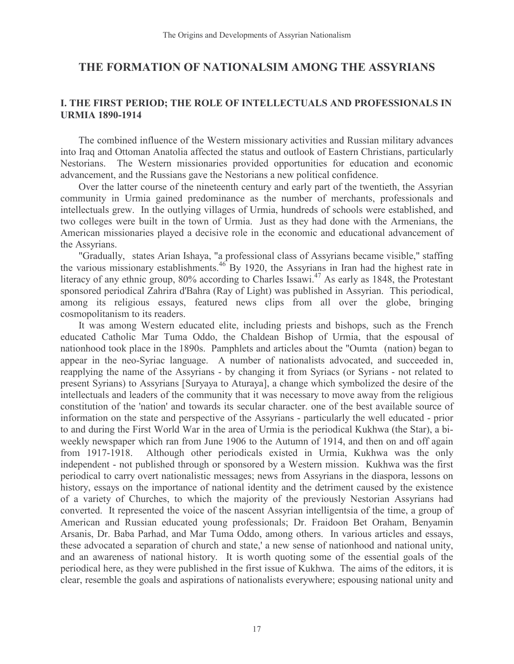## THE FORMATION OF NATIONALSIM AMONG THE ASSYRIANS

#### I. THE FIRST PERIOD; THE ROLE OF INTELLECTUALS AND PROFESSIONALS IN URMIA 1890-1914

The combined influence of the Western missionary activities and Russian military advances into Iraq and Ottoman Anatolia affected the status and outlook of Eastern Christians, particularly Nestorians. The Western missionaries provided opportunities for education and economic advancement, and the Russians gave the Nestorians a new political confidence.

Over the latter course of the nineteenth century and early part of the twentieth, the Assyrian community in Urmia gained predominance as the number of merchants, professionals and intellectuals grew. In the outlying villages of Urmia, hundreds of schools were established, and two colleges were built in the town of Urmia. Just as they had done with the Armenians, the American missionaries played a decisive role in the economic and educational advancement of the Assyrians.

"Gradually,î states Arian Ishaya, "a professional class of Assyrians became visible," staffing the various missionary establishments.<sup>46</sup> By 1920, the Assyrians in Iran had the highest rate in literacy of any ethnic group, 80% according to Charles Issawi.<sup>47</sup> As early as 1848, the Protestant sponsored periodical Zahrira d'Bahra (Ray of Light) was published in Assyrian. This periodical, among its religious essays, featured news clips from all over the globe, bringing cosmopolitanism to its readers.

It was among Western educated elite, including priests and bishops, such as the French educated Catholic Mar Tuma Oddo, the Chaldean Bishop of Urmia, that the espousal of nationhood took place in the 1890s. Pamphlets and articles about the "Oumtaî (nation) began to appear in the neo-Syriac language. A number of nationalists advocated, and succeeded in, reapplying the name of the Assyrians - by changing it from Syriacs (or Syrians - not related to present Syrians) to Assyrians [Suryaya to Aturaya], a change which symbolized the desire of the intellectuals and leaders of the community that it was necessary to move away from the religious constitution of the 'nation' and towards its secular character. one of the best available source of information on the state and perspective of the Assyrians - particularly the well educated - prior to and during the First World War in the area of Urmia is the periodical Kukhwa (the Star), a biweekly newspaper which ran from June 1906 to the Autumn of 1914, and then on and off again from 1917-1918. Although other periodicals existed in Urmia, Kukhwa was the only independent - not published through or sponsored by a Western mission. Kukhwa was the first periodical to carry overt nationalistic messages; news from Assyrians in the diaspora, lessons on history, essays on the importance of national identity and the detriment caused by the existence of a variety of Churches, to which the majority of the previously Nestorian Assyrians had converted. It represented the voice of the nascent Assyrian intelligentsia of the time, a group of American and Russian educated young professionals; Dr. Fraidoon Bet Oraham, Benyamin Arsanis, Dr. Baba Parhad, and Mar Tuma Oddo, among others. In various articles and essays, these advocated a separation of church and state,' a new sense of nationhood and national unity, and an awareness of national history. It is worth quoting some of the essential goals of the periodical here, as they were published in the first issue of Kukhwa. The aims of the editors, it is clear, resemble the goals and aspirations of nationalists everywhere; espousing national unity and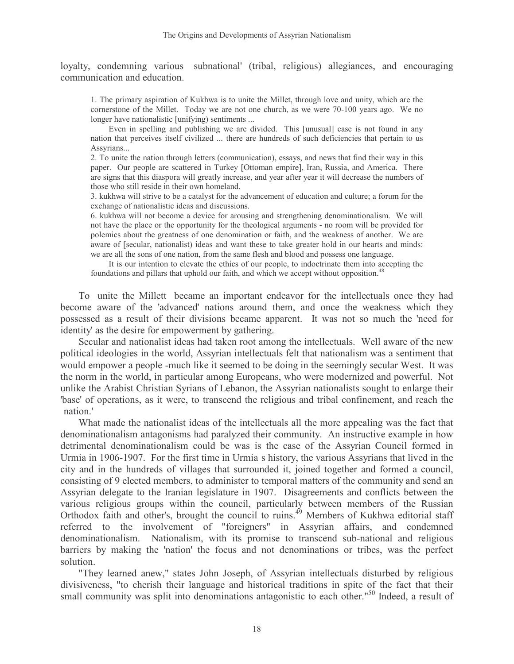loyalty, condemning various ësubnational' (tribal, religious) allegiances, and encouraging communication and education.

1. The primary aspiration of Kukhwa is to unite the Millet, through love and unity, which are the cornerstone of the Millet. Today we are not one church, as we were 70-100 years ago. We no longer have nationalistic [unifying] sentiments ...

Even in spelling and publishing we are divided. This [unusual] case is not found in any nation that perceives itself civilized ... there are hundreds of such deficiencies that pertain to us Assyrians...

2. To unite the nation through letters (communication), essays, and news that find their way in this paper. Our people are scattered in Turkey [Ottoman empire], Iran, Russia, and America. There are signs that this diaspora will greatly increase, and year after year it will decrease the numbers of those who still reside in their own homeland.

3. kukhwa will strive to be a catalyst for the advancement of education and culture; a forum for the exchange of nationalistic ideas and discussions.

6. kukhwa will not become a device for arousing and strengthening denominationalism. We will not have the place or the opportunity for the theological arguments - no room will be provided for polemics about the greatness of one denomination or faith, and the weakness of another. We are aware of [secular, nationalist) ideas and want these to take greater hold in our hearts and minds: we are all the sons of one nation, from the same flesh and blood and possess one language.

It is our intention to elevate the ethics of our people, to indoctrinate them into accepting the foundations and pillars that uphold our faith, and which we accept without opposition.<sup>48</sup>

To ëunite the Millettí became an important endeavor for the intellectuals once they had become aware of the 'advanced' nations around them, and once the weakness which they possessed as a result of their divisions became apparent. It was not so much the 'need for identity' as the desire for empowerment by gathering.

Secular and nationalist ideas had taken root among the intellectuals. Well aware of the new political ideologies in the world, Assyrian intellectuals felt that nationalism was a sentiment that would empower a people -much like it seemed to be doing in the seemingly secular West. It was the norm in the world, in particular among Europeans, who were modernized and powerful. Not unlike the Arabist Christian Syrians of Lebanon, the Assyrian nationalists sought to enlarge their 'base' of operations, as it were, to transcend the religious and tribal confinement, and reach the ënation.'

What made the nationalist ideas of the intellectuals all the more appealing was the fact that denominationalism antagonisms had paralyzed their community. An instructive example in how detrimental denominationalism could be was is the case of the Assyrian Council formed in Urmia in 1906-1907. For the first time in Urmiaís history, the various Assyrians that lived in the city and in the hundreds of villages that surrounded it, joined together and formed a council, consisting of 9 elected members, to administer to temporal matters of the community and send an Assyrian delegate to the Iranian legislature in 1907. Disagreements and conflicts between the various religious groups within the council, particularly between members of the Russian Orthodox faith and other's, brought the council to ruins.<sup>49</sup> Members of Kukhwa editorial staff referred to the involvement of "foreigners" in Assyrian affairs, and condemned denominationalism. Nationalism, with its promise to transcend sub-national and religious barriers by making the 'nation' the focus and not denominations or tribes, was the perfect solution.

"They learned anew," states John Joseph, of Assyrian intellectuals disturbed by religious divisiveness, "to cherish their language and historical traditions in spite of the fact that their small community was split into denominations antagonistic to each other."<sup>50</sup> Indeed, a result of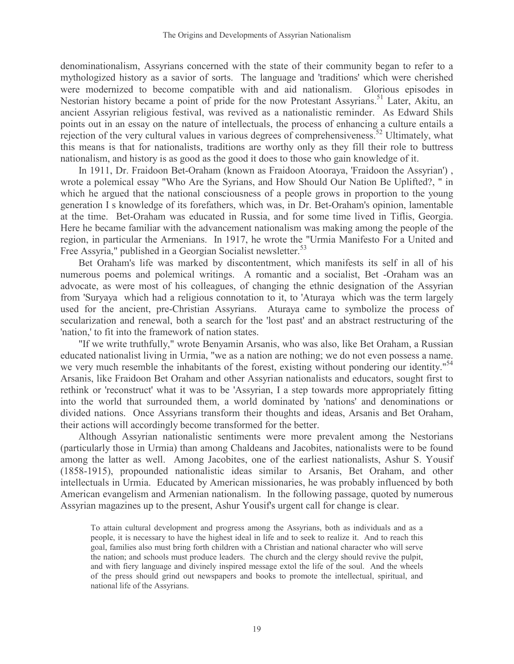denominationalism, Assyrians concerned with the state of their community began to refer to a mythologized history as a savior of sorts. The language and 'traditions' which were cherished were modernized to become compatible with and aid nationalism. Glorious episodes in Nestorian history became a point of pride for the now Protestant Assyrians.<sup>51</sup> Later, Akitu, an ancient Assyrian religious festival, was revived as a nationalistic reminder. As Edward Shils points out in an essay on the nature of intellectuals, the process of enhancing a culture entails a rejection of the very cultural values in various degrees of comprehensiveness.<sup>52</sup> Ultimately, what this means is that for nationalists, traditions are worthy only as they fill their role to buttress nationalism, and history is as good as the good it does to those who gain knowledge of it.

In 1911, Dr. Fraidoon Bet-Oraham (known as Fraidoon Atooraya, 'Fraidoon the Assyrian') , wrote a polemical essay "Who Are the Syrians, and How Should Our Nation Be Uplifted?, " in which he argued that the national consciousness of a people grows in proportion to the young generation I s knowledge of its forefathers, which was, in Dr. Bet-Oraham's opinion, lamentable at the time. Bet-Oraham was educated in Russia, and for some time lived in Tiflis, Georgia. Here he became familiar with the advancement nationalism was making among the people of the region, in particular the Armenians. In 1917, he wrote the "Urmia Manifesto For a United and Free Assyria," published in a Georgian Socialist newsletter.<sup>53</sup>

Bet Oraham's life was marked by discontentment, which manifests its self in all of his numerous poems and polemical writings. A romantic and a socialist, Bet -Oraham was an advocate, as were most of his colleagues, of changing the ethnic designation of the Assyrian from 'Suryayaí which had a religious connotation to it, to 'Aturayaí which was the term largely used for the ancient, pre-Christian Assyrians. Aturaya came to symbolize the process of secularization and renewal, both a search for the 'lost past' and an abstract restructuring of the 'nation,' to fit into the framework of nation states.

"If we write truthfully," wrote Benyamin Arsanis, who was also, like Bet Oraham, a Russian educated nationalist living in Urmia, "we as a nation are nothing; we do not even possess a name. we very much resemble the inhabitants of the forest, existing without pondering our identity."<sup>54</sup> Arsanis, like Fraidoon Bet Oraham and other Assyrian nationalists and educators, sought first to rethink or 'reconstruct' what it was to be 'Assyrian, I a step towards more appropriately fitting into the world that surrounded them, a world dominated by 'nations' and denominations or divided nations. Once Assyrians transform their thoughts and ideas, Arsanis and Bet Oraham, their actions will accordingly become transformed for the better.

Although Assyrian nationalistic sentiments were more prevalent among the Nestorians (particularly those in Urmia) than among Chaldeans and Jacobites, nationalists were to be found among the latter as well. Among Jacobites, one of the earliest nationalists, Ashur S. Yousif (1858-1915), propounded nationalistic ideas similar to Arsanis, Bet Oraham, and other intellectuals in Urmia. Educated by American missionaries, he was probably influenced by both American evangelism and Armenian nationalism. In the following passage, quoted by numerous Assyrian magazines up to the present, Ashur Yousif's urgent call for change is clear.

To attain cultural development and progress among the Assyrians, both as individuals and as a people, it is necessary to have the highest ideal in life and to seek to realize it. And to reach this goal, families also must bring forth children with a Christian and national character who will serve the nation; and schools must produce leaders. The church and the clergy should revive the pulpit, and with fiery language and divinely inspired message extol the life of the soul. And the wheels of the press should grind out newspapers and books to promote the intellectual, spiritual, and national life of the Assyrians.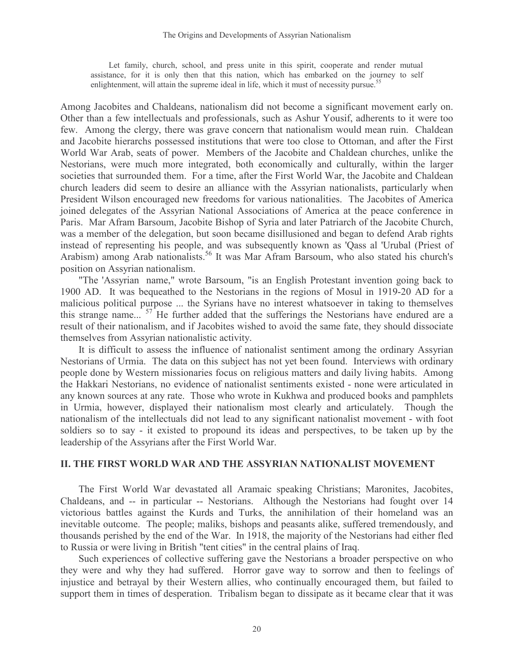Let family, church, school, and press unite in this spirit, cooperate and render mutual assistance, for it is only then that this nation, which has embarked on the journey to self enlightenment, will attain the supreme ideal in life, which it must of necessity pursue.<sup>55</sup>

Among Jacobites and Chaldeans, nationalism did not become a significant movement early on. Other than a few intellectuals and professionals, such as Ashur Yousif, adherents to it were too few. Among the clergy, there was grave concern that nationalism would mean ruin. Chaldean and Jacobite hierarchs possessed institutions that were too close to Ottoman, and after the First World War Arab, seats of power. Members of the Jacobite and Chaldean churches, unlike the Nestorians, were much more integrated, both economically and culturally, within the larger societies that surrounded them. For a time, after the First World War, the Jacobite and Chaldean church leaders did seem to desire an alliance with the Assyrian nationalists, particularly when President Wilson encouraged new freedoms for various nationalities. The Jacobites of America joined delegates of the Assyrian National Associations of America at the peace conference in Paris. Mar Afram Barsoum, Jacobite Bishop of Syria and later Patriarch of the Jacobite Church, was a member of the delegation, but soon became disillusioned and began to defend Arab rights instead of representing his people, and was subsequently known as 'Qass al 'Urubal (Priest of Arabism) among Arab nationalists.<sup>56</sup> It was Mar Afram Barsoum, who also stated his church's position on Assyrian nationalism.

"The 'Assyrianí name," wrote Barsoum, "is an English Protestant invention going back to 1900 AD. It was bequeathed to the Nestorians in the regions of Mosul in 1919-20 AD for a malicious political purpose ... the Syrians have no interest whatsoever in taking to themselves this strange name... $i^{57}$  He further added that the sufferings the Nestorians have endured are a result of their nationalism, and if Jacobites wished to avoid the same fate, they should dissociate themselves from Assyrian nationalistic activity.

It is difficult to assess the influence of nationalist sentiment among the ordinary Assyrian Nestorians of Urmia. The data on this subject has not yet been found. Interviews with ordinary people done by Western missionaries focus on religious matters and daily living habits. Among the Hakkari Nestorians, no evidence of nationalist sentiments existed - none were articulated in any known sources at any rate. Those who wrote in Kukhwa and produced books and pamphlets in Urmia, however, displayed their nationalism most clearly and articulately. Though the nationalism of the intellectuals did not lead to any significant nationalist movement - with foot soldiers so to say - it existed to propound its ideas and perspectives, to be taken up by the leadership of the Assyrians after the First World War.

#### II. THE FIRST WORLD WAR AND THE ASSYRIAN NATIONALIST MOVEMENT

The First World War devastated all Aramaic speaking Christians; Maronites, Jacobites, Chaldeans, and -- in particular -- Nestorians. Although the Nestorians had fought over 14 victorious battles against the Kurds and Turks, the annihilation of their homeland was an inevitable outcome. The people; maliks, bishops and peasants alike, suffered tremendously, and thousands perished by the end of the War. In 1918, the majority of the Nestorians had either fled to Russia or were living in British "tent cities" in the central plains of Iraq.

Such experiences of collective suffering gave the Nestorians a broader perspective on who they were and why they had suffered. Horror gave way to sorrow and then to feelings of injustice and betrayal by their Western allies, who continually encouraged them, but failed to support them in times of desperation. Tribalism began to dissipate as it became clear that it was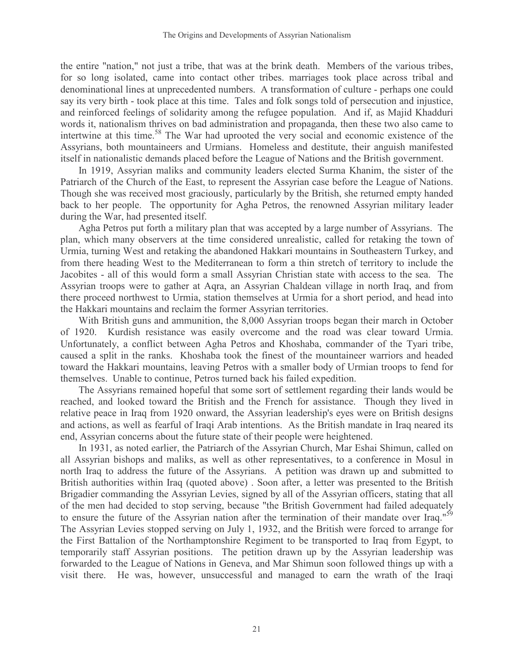the entire "nation," not just a tribe, that was at the brink death. Members of the various tribes, for so long isolated, came into contact other tribes. marriages took place across tribal and denominational lines at unprecedented numbers. A transformation of culture - perhaps one could say its very birth - took place at this time. Tales and folk songs told of persecution and injustice, and reinforced feelings of solidarity among the refugee population. And if, as Majid Khadduri words it, nationalism thrives on bad administration and propaganda, then these two also came to intertwine at this time.<sup>58</sup> The War had uprooted the very social and economic existence of the Assyrians, both mountaineers and Urmians. Homeless and destitute, their anguish manifested itself in nationalistic demands placed before the League of Nations and the British government.

In 1919, Assyrian maliks and community leaders elected Surma Khanim, the sister of the Patriarch of the Church of the East, to represent the Assyrian case before the League of Nations. Though she was received most graciously, particularly by the British, she returned empty handed back to her people. The opportunity for Agha Petros, the renowned Assyrian military leader during the War, had presented itself.

Agha Petros put forth a military plan that was accepted by a large number of Assyrians. The plan, which many observers at the time considered unrealistic, called for retaking the town of Urmia, turning West and retaking the abandoned Hakkari mountains in Southeastern Turkey, and from there heading West to the Mediterranean to form a thin stretch of territory to include the Jacobites - all of this would form a small Assyrian Christian state with access to the sea. The Assyrian troops were to gather at Aqra, an Assyrian Chaldean village in north Iraq, and from there proceed northwest to Urmia, station themselves at Urmia for a short period, and head into the Hakkari mountains and reclaim the former Assyrian territories.

With British guns and ammunition, the 8,000 Assyrian troops began their march in October of 1920. Kurdish resistance was easily overcome and the road was clear toward Urmia. Unfortunately, a conflict between Agha Petros and Khoshaba, commander of the Tyari tribe, caused a split in the ranks. Khoshaba took the finest of the mountaineer warriors and headed toward the Hakkari mountains, leaving Petros with a smaller body of Urmian troops to fend for themselves. Unable to continue, Petros turned back his failed expedition.

The Assyrians remained hopeful that some sort of settlement regarding their lands would be reached, and looked toward the British and the French for assistance. Though they lived in relative peace in Iraq from 1920 onward, the Assyrian leadership's eyes were on British designs and actions, as well as fearful of Iraqi Arab intentions. As the British mandate in Iraq neared its end, Assyrian concerns about the future state of their people were heightened.

In 1931, as noted earlier, the Patriarch of the Assyrian Church, Mar Eshai Shimun, called on all Assyrian bishops and maliks, as well as other representatives, to a conference in Mosul in north Iraq to address the future of the Assyrians. A petition was drawn up and submitted to British authorities within Iraq (quoted above) . Soon after, a letter was presented to the British Brigadier commanding the Assyrian Levies, signed by all of the Assyrian officers, stating that all of the men had decided to stop serving, because "the British Government had failed adequately to ensure the future of the Assyrian nation after the termination of their mandate over Iraq."<sup>59</sup> The Assyrian Levies stopped serving on July 1, 1932, and the British were forced to arrange for the First Battalion of the Northamptonshire Regiment to be transported to Iraq from Egypt, to temporarily staff Assyrian positions. The petition drawn up by the Assyrian leadership was forwarded to the League of Nations in Geneva, and Mar Shimun soon followed things up with a visit there. He was, however, unsuccessful and managed to earn the wrath of the Iraqi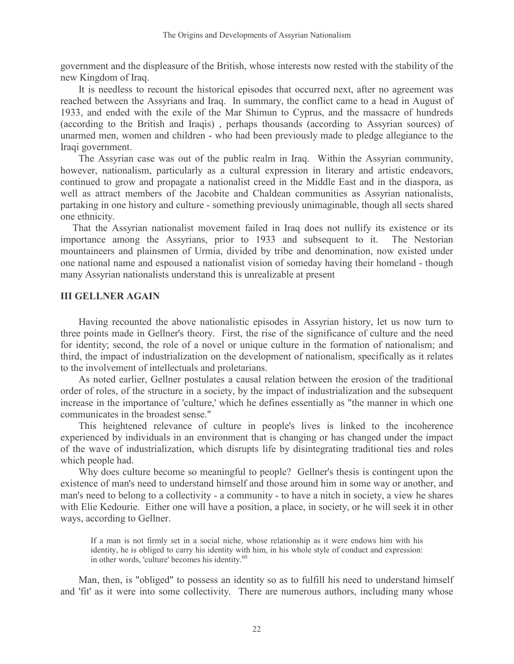government and the displeasure of the British, whose interests now rested with the stability of the new Kingdom of Iraq.

It is needless to recount the historical episodes that occurred next, after no agreement was reached between the Assyrians and Iraq. In summary, the conflict came to a head in August of 1933, and ended with the exile of the Mar Shimun to Cyprus, and the massacre of hundreds (according to the British and Iraqis) , perhaps thousands (according to Assyrian sources) of unarmed men, women and children - who had been previously made to pledge allegiance to the Iraqi government.

The Assyrian case was out of the public realm in Iraq. Within the Assyrian community, however, nationalism, particularly as a cultural expression in literary and artistic endeavors, continued to grow and propagate a nationalist creed in the Middle East and in the diaspora, as well as attract members of the Jacobite and Chaldean communities as Assyrian nationalists, partaking in one history and culture - something previously unimaginable, though all sects shared one ethnicity.

That the Assyrian nationalist movement failed in Iraq does not nullify its existence or its importance among the Assyrians, prior to 1933 and subsequent to it. The Nestorian mountaineers and plainsmen of Urmia, divided by tribe and denomination, now existed under one national name and espoused a nationalist vision of someday having their homeland - though many Assyrian nationalists understand this is unrealizable at present

#### III GELLNER AGAIN

Having recounted the above nationalistic episodes in Assyrian history, let us now turn to three points made in Gellner's theory. First, the rise of the significance of culture and the need for identity; second, the role of a novel or unique culture in the formation of nationalism; and third, the impact of industrialization on the development of nationalism, specifically as it relates to the involvement of intellectuals and proletarians.

As noted earlier, Gellner postulates a causal relation between the erosion of the traditional order of roles, of the structure in a society, by the impact of industrialization and the subsequent increase in the importance of 'culture,' which he defines essentially as "the manner in which one communicates in the broadest sense."

This heightened relevance of culture in people's lives is linked to the incoherence experienced by individuals in an environment that is changing or has changed under the impact of the wave of industrialization, which disrupts life by disintegrating traditional ties and roles which people had.

Why does culture become so meaningful to people? Gellner's thesis is contingent upon the existence of man's need to understand himself and those around him in some way or another, and man's need to belong to a collectivity - a community - to have a nitch in society, a view he shares with Elie Kedourie. Either one will have a position, a place, in society, or he will seek it in other ways, according to Gellner.

If a man is not firmly set in a social niche, whose relationship as it were endows him with his identity, he is obliged to carry his identity with him, in his whole style of conduct and expression: in other words, 'culture' becomes his identity.<sup>60</sup>

Man, then, is "obliged" to possess an identity so as to fulfill his need to understand himself and 'fit' as it were into some collectivity. There are numerous authors, including many whose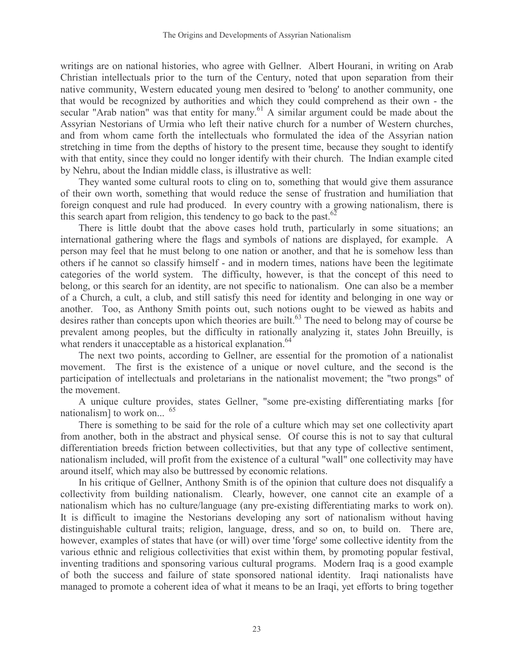writings are on national histories, who agree with Gellner. Albert Hourani, in writing on Arab Christian intellectuals prior to the turn of the Century, noted that upon separation from their native community, Western educated young men desired to 'belong' to another community, one that would be recognized by authorities and which they could comprehend as their own - the secular "Arab nation" was that entity for many.<sup>61</sup> A similar argument could be made about the Assyrian Nestorians of Urmia who left their native church for a number of Western churches, and from whom came forth the intellectuals who formulated the idea of the Assyrian nation stretching in time from the depths of history to the present time, because they sought to identify with that entity, since they could no longer identify with their church. The Indian example cited by Nehru, about the Indian middle class, is illustrative as well:

They wanted some cultural roots to cling on to, something that would give them assurance of their own worth, something that would reduce the sense of frustration and humiliation that foreign conquest and rule had produced. In every country with a growing nationalism, there is this search apart from religion, this tendency to go back to the past.<sup>62</sup>

There is little doubt that the above cases hold truth, particularly in some situations; an international gathering where the flags and symbols of nations are displayed, for example. A person may feel that he must belong to one nation or another, and that he is somehow less than others if he cannot so classify himself - and in modern times, nations have been the legitimate categories of the world system. The difficulty, however, is that the concept of this need to belong, or this search for an identity, are not specific to nationalism. One can also be a member of a Church, a cult, a club, and still satisfy this need for identity and belonging in one way or another. Too, as Anthony Smith points out, such notions ought to be viewed as habits and desires rather than concepts upon which theories are built.<sup>63</sup> The need to belong may of course be prevalent among peoples, but the difficulty in rationally analyzing it, states John Breuilly, is what renders it unacceptable as a historical explanation.<sup>64</sup>

The next two points, according to Gellner, are essential for the promotion of a nationalist movement. The first is the existence of a unique or novel culture, and the second is the participation of intellectuals and proletarians in the nationalist movement; the "two prongs" of the movement.

A unique culture provides, states Gellner, "some pre-existing differentiating marks [for nationalism] to work on... $\hat{I}^{65}$ 

There is something to be said for the role of a culture which may set one collectivity apart from another, both in the abstract and physical sense. Of course this is not to say that cultural differentiation breeds friction between collectivities, but that any type of collective sentiment, nationalism included, will profit from the existence of a cultural "wall" one collectivity may have around itself, which may also be buttressed by economic relations.

In his critique of Gellner, Anthony Smith is of the opinion that culture does not disqualify a collectivity from building nationalism. Clearly, however, one cannot cite an example of a nationalism which has no culture/language (any pre-existing differentiating marks to work on). It is difficult to imagine the Nestorians developing any sort of nationalism without having distinguishable cultural traits; religion, language, dress, and so on, to build on. There are, however, examples of states that have (or will) over time 'forge' some collective identity from the various ethnic and religious collectivities that exist within them, by promoting popular festival, inventing traditions and sponsoring various cultural programs. Modern Iraq is a good example of both the success and failure of state sponsored national identity. Iraqi nationalists have managed to promote a coherent idea of what it means to be an Iraqi, yet efforts to bring together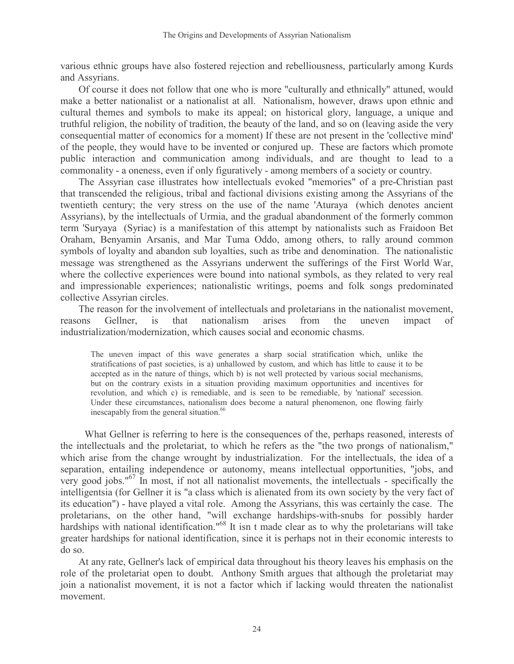various ethnic groups have also fostered rejection and rebelliousness, particularly among Kurds and Assyrians.

Of course it does not follow that one who is more "culturally and ethnically" attuned, would make a better nationalist or a nationalist at all. Nationalism, however, draws upon ethnic and cultural themes and symbols to make its appeal; on historical glory, language, a unique and truthful religion, the nobility of tradition, the beauty of the land, and so on (leaving aside the very consequential matter of economics for a moment) If these are not present in the 'collective mind' of the people, they would have to be invented or conjured up. These are factors which promote public interaction and communication among individuals, and are thought to lead to a commonality - a oneness, even if only figuratively - among members of a society or country.

The Assyrian case illustrates how intellectuals evoked "memories" of a pre-Christian past that transcended the religious, tribal and factional divisions existing among the Assyrians of the twentieth century; the very stress on the use of the name 'Aturayaí (which denotes ancient Assyrians), by the intellectuals of Urmia, and the gradual abandonment of the formerly common term 'Suryayaí (Syriac) is a manifestation of this attempt by nationalists such as Fraidoon Bet Oraham, Benyamin Arsanis, and Mar Tuma Oddo, among others, to rally around common symbols of loyalty and abandon sub loyalties, such as tribe and denomination. The nationalistic message was strengthened as the Assyrians underwent the sufferings of the First World War, where the collective experiences were bound into national symbols, as they related to very real and impressionable experiences; nationalistic writings, poems and folk songs predominated collective Assyrian circles.

The reason for the involvement of intellectuals and proletarians in the nationalist movement, reasons Gellner, is that nationalism arises from the uneven impact of industrialization/modernization, which causes social and economic chasms.

The uneven impact of this wave generates a sharp social stratification which, unlike the stratifications of past societies, is a) unhallowed by custom, and which has little to cause it to be accepted as in the nature of things, which b) is not well protected by various social mechanisms, but on the contrary exists in a situation providing maximum opportunities and incentives for revolution, and which c) is remediable, and is seen to be remediable, by 'national' secession. Under these circumstances, nationalism does become a natural phenomenon, one flowing fairly inescapably from the general situation.<sup>66</sup>

What Gellner is referring to here is the consequences of the, perhaps reasoned, interests of the intellectuals and the proletariat, to which he refers as the "the two prongs of nationalism," which arise from the change wrought by industrialization. For the intellectuals, the idea of a separation, entailing independence or autonomy, means intellectual opportunities, "jobs, and very good jobs."<sup>67</sup> In most, if not all nationalist movements, the intellectuals - specifically the intelligentsia (for Gellner it is "a class which is alienated from its own society by the very fact of its education") - have played a vital role. Among the Assyrians, this was certainly the case. The proletarians, on the other hand, "will exchange hardships-with-snubs for possibly harder hardships with national identification."<sup>68</sup> It isnít made clear as to why the proletarians will take greater hardships for national identification, since it is perhaps not in their economic interests to do so.

At any rate, Gellner's lack of empirical data throughout his theory leaves his emphasis on the role of the proletariat open to doubt. Anthony Smith argues that although the proletariat may join a nationalist movement, it is not a factor which if lacking would threaten the nationalist movement.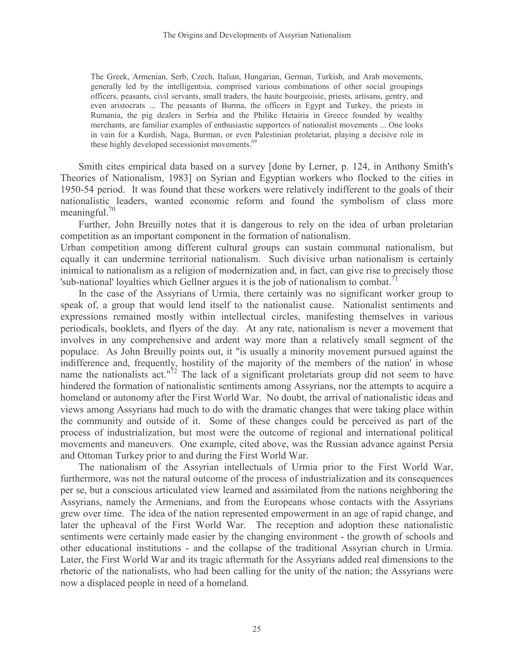The Greek, Armenian, Serb, Czech, Italian, Hungarian, German, Turkish, and Arab movements, generally led by the intelligentsia, comprised various combinations of other social groupings officers, peasants, civil servants, small traders, the haute bourgeoisie, priests, artisans, gentry, and even aristocrats ... The peasants of Burma, the officers in Egypt and Turkey, the priests in Rumania, the pig dealers in Serbia and the Philike Hetairia in Greece founded by wealthy merchants, are familiar examples of enthusiastic supporters of nationalist movements ... One looks in vain for a Kurdish, Naga, Burman, or even Palestinian proletariat, playing a decisive role in these highly developed secessionist movements.<sup>69</sup>

Smith cites empirical data based on a survey [done by Lerner, p. 124, in Anthony Smith's Theories of Nationalism, 1983] on Syrian and Egyptian workers who flocked to the cities in 1950-54 period. It was found that these workers were relatively indifferent to the goals of their nationalistic leaders, wanted economic reform and found the symbolism of class more meaningful. $70$ 

Further, John Breuilly notes that it is dangerous to rely on the idea of urban proletarian competition as an important component in the formation of nationalism.

Urban competition among different cultural groups can sustain communal nationalism, but equally it can undermine territorial nationalism. Such divisive urban nationalism is certainly inimical to nationalism as a religion of modernization and, in fact, can give rise to precisely those 'sub-national' loyalties which Gellner argues it is the job of nationalism to combat.<sup>7</sup>

In the case of the Assyrians of Urmia, there certainly was no significant worker group to speak of, a group that would lend itself to the nationalist cause. Nationalist sentiments and expressions remained mostly within intellectual circles, manifesting themselves in various periodicals, booklets, and flyers of the day. At any rate, nationalism is never a movement that involves in any comprehensive and ardent way more than a relatively small segment of the populace. As John Breuilly points out, it "is usually a minority movement pursued against the indifference and, frequently, hostility of the majority of the members of the nation' in whose name the nationalists act."<sup>72</sup> The lack of a significant proletariats group did not seem to have hindered the formation of nationalistic sentiments among Assyrians, nor the attempts to acquire a homeland or autonomy after the First World War. No doubt, the arrival of nationalistic ideas and views among Assyrians had much to do with the dramatic changes that were taking place within the community and outside of it. Some of these changes could be perceived as part of the process of industrialization, but most were the outcome of regional and international political movements and maneuvers. One example, cited above, was the Russian advance against Persia and Ottoman Turkey prior to and during the First World War.

The nationalism of the Assyrian intellectuals of Urmia prior to the First World War, furthermore, was not the natural outcome of the process of industrialization and its consequences per se, but a conscious articulated view learned and assimilated from the nations neighboring the Assyrians, namely the Armenians, and from the Europeans whose contacts with the Assyrians grew over time. The idea of the nation represented empowerment in an age of rapid change, and later the upheaval of the First World War. The reception and adoption these nationalistic sentiments were certainly made easier by the changing environment - the growth of schools and other educational institutions - and the collapse of the traditional Assyrian church in Urmia. Later, the First World War and its tragic aftermath for the Assyrians added real dimensions to the rhetoric of the nationalists, who had been calling for the unity of the nation; the Assyrians were now a displaced people in need of a homeland.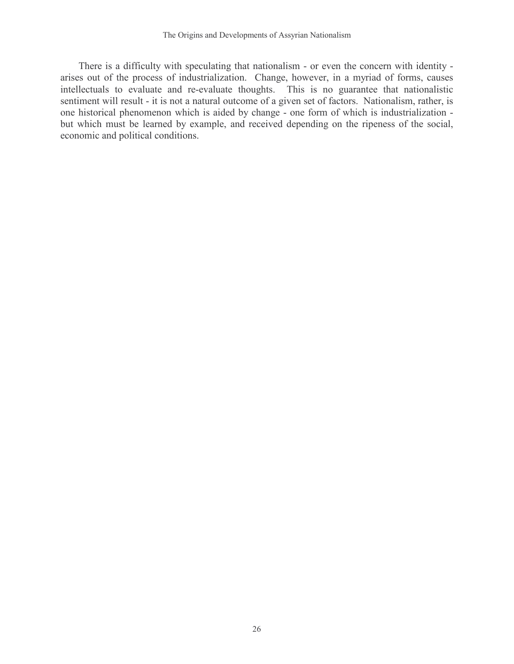There is a difficulty with speculating that nationalism - or even the concern with identity arises out of the process of industrialization. Change, however, in a myriad of forms, causes intellectuals to evaluate and re-evaluate thoughts. This is no guarantee that nationalistic sentiment will result - it is not a natural outcome of a given set of factors. Nationalism, rather, is one historical phenomenon which is aided by change - one form of which is industrialization but which must be learned by example, and received depending on the ripeness of the social, economic and political conditions.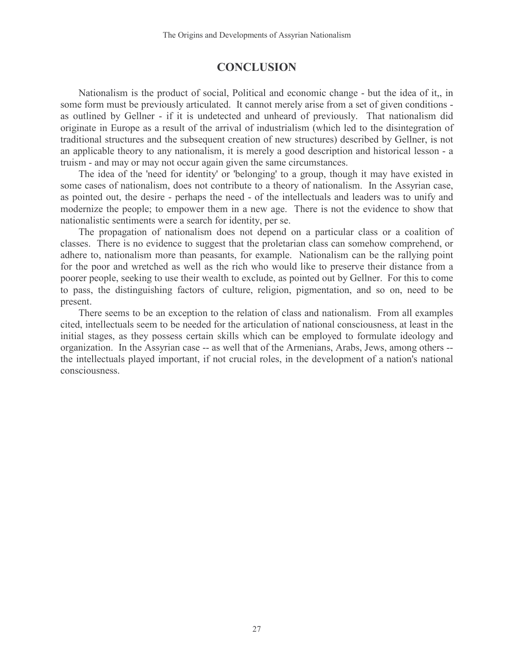## **CONCLUSION**

Nationalism is the product of social, Political and economic change - but the idea of it,, in some form must be previously articulated. It cannot merely arise from a set of given conditions as outlined by Gellner - if it is undetected and unheard of previously. That nationalism did originate in Europe as a result of the arrival of industrialism (which led to the disintegration of traditional structures and the subsequent creation of new structures) described by Gellner, is not an applicable theory to any nationalism, it is merely a good description and historical lesson - a truism - and may or may not occur again given the same circumstances.

The idea of the 'need for identity' or 'belonging' to a group, though it may have existed in some cases of nationalism, does not contribute to a theory of nationalism. In the Assyrian case, as pointed out, the desire - perhaps the need - of the intellectuals and leaders was to unify and modernize the people; to empower them in a new age. There is not the evidence to show that nationalistic sentiments were a search for identity, per se.

The propagation of nationalism does not depend on a particular class or a coalition of classes. There is no evidence to suggest that the proletarian class can somehow comprehend, or adhere to, nationalism more than peasants, for example. Nationalism can be the rallying point for the poor and wretched as well as the rich who would like to preserve their distance from a poorer people, seeking to use their wealth to exclude, as pointed out by Gellner. For this to come to pass, the distinguishing factors of culture, religion, pigmentation, and so on, need to be present.

There seems to be an exception to the relation of class and nationalism. From all examples cited, intellectuals seem to be needed for the articulation of national consciousness, at least in the initial stages, as they possess certain skills which can be employed to formulate ideology and organization. In the Assyrian case -- as well that of the Armenians, Arabs, Jews, among others - the intellectuals played important, if not crucial roles, in the development of a nation's national consciousness.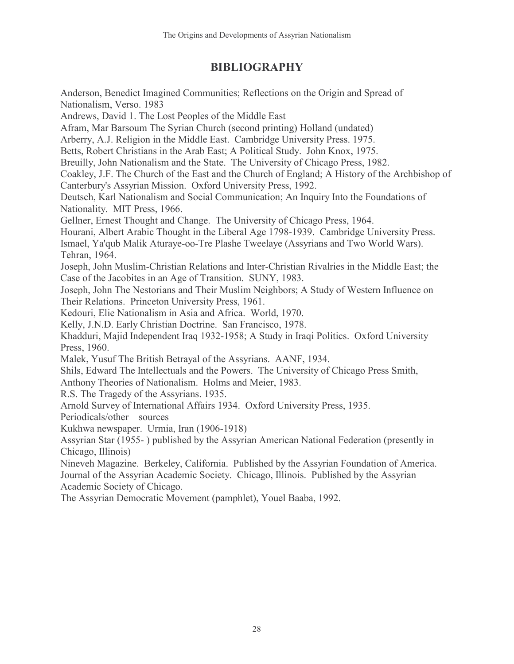## BIBLIOGRAPHY

Anderson, Benedict Imagined Communities; Reflections on the Origin and Spread of Nationalism, Verso. 1983 Andrews, David 1. The Lost Peoples of the Middle East Afram, Mar Barsoum The Syrian Church (second printing) Holland (undated) Arberry, A.J. Religion in the Middle East. Cambridge University Press. 1975. Betts, Robert Christians in the Arab East; A Political Study. John Knox, 1975. Breuilly, John Nationalism and the State. The University of Chicago Press, 1982. Coakley, J.F. The Church of the East and the Church of England; A History of the Archbishop of Canterbury's Assyrian Mission. Oxford University Press, 1992. Deutsch, Karl Nationalism and Social Communication; An Inquiry Into the Foundations of Nationality. MIT Press, 1966. Gellner, Ernest Thought and Change. The University of Chicago Press, 1964. Hourani, Albert Arabic Thought in the Liberal Age 1798-1939. Cambridge University Press. Ismael, Ya'qub Malik Aturaye-oo-Tre Plashe Tweelaye (Assyrians and Two World Wars). Tehran, 1964. Joseph, John Muslim-Christian Relations and Inter-Christian Rivalries in the Middle East; the Case of the Jacobites in an Age of Transition. SUNY, 1983. Joseph, John The Nestorians and Their Muslim Neighbors; A Study of Western Influence on Their Relations. Princeton University Press, 1961. Kedouri, Elie Nationalism in Asia and Africa. World, 1970. Kelly, J.N.D. Early Christian Doctrine. San Francisco, 1978. Khadduri, Majid Independent Iraq 1932-1958; A Study in Iraqi Politics. Oxford University Press, 1960. Malek, Yusuf The British Betrayal of the Assyrians. AANF, 1934. Shils, Edward The Intellectuals and the Powers. The University of Chicago Press Smith, Anthony Theories of Nationalism. Holms and Meier, 1983. R.S. The Tragedy of the Assyrians. 1935. Arnold Survey of International Affairs 1934. Oxford University Press, 1935. Periodicals/other sources Kukhwa newspaper. Urmia, Iran (1906-1918) Assyrian Star (1955- ) published by the Assyrian American National Federation (presently in Chicago, Illinois) Nineveh Magazine. Berkeley, California. Published by the Assyrian Foundation of America. Journal of the Assyrian Academic Society. Chicago, Illinois. Published by the Assyrian Academic Society of Chicago.

The Assyrian Democratic Movement (pamphlet), Youel Baaba, 1992.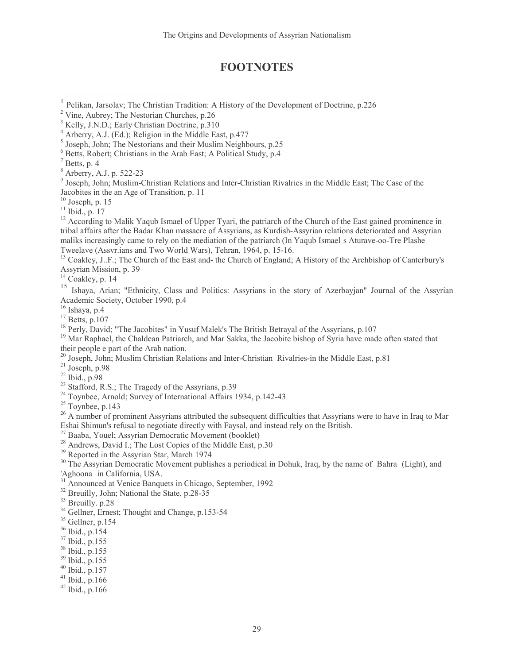## **FOOTNOTES**

 $\overline{a}$ 

<sup>12</sup> According to Malik Yaqub Ismael of Upper Tyari, the patriarch of the Church of the East gained prominence in tribal affairs after the Badar Khan massacre of Assyrians, as Kurdish-Assyrian relations deteriorated and Assyrian maliks increasingly came to rely on the mediation of the patriarch (In Yaqub Ismaelís Aturave-oo-Tre Plashe Tweelave (Assvr.ians and Two World Wars), Tehran, 1964, p. 15-16.

<sup>13</sup> Coakley, J..F.; The Church of the East and- the Church of England; A History of the Archbishop of Canterbury's Assyrian Mission, p. 39

 $14$  Coakley, p. 14

<sup>15</sup> Ishaya, Arian; "Ethnicity, Class and Politics: Assyrians in the story of Azerbayjan" Journal of the Assyrian Academic Society, October 1990, p.4

<sup>16</sup> Ishaya, p.4

 $17$  Betts, p.107

<sup>18</sup> Perly, David; "The Jacobites" in Yusuf Malek's The British Betrayal of the Assyrians, p.107

<sup>19</sup> Mar Raphael, the Chaldean Patriarch, and Mar Sakka, the Jacobite bishop of Syria have made often stated that their people e part of the Arab nation.

<sup>20</sup> Joseph, John; Muslim Christian Relations and Inter-Christian Rivalries-in the Middle East, p.81

- $21$  Joseph, p.98
- <sup>22</sup> Ibid., p.98
- <sup>23</sup> Stafford, R.S.; The Tragedy of the Assyrians, p.39
- <sup>24</sup> Toynbee, Arnold; Survey of International Affairs 1934, p.142-43
- $25$  Toynbee, p.143

<sup>26</sup> A number of prominent Assyrians attributed the subsequent difficulties that Assyrians were to have in Iraq to Mar Eshai Shimun's refusal to negotiate directly with Faysal, and instead rely on the British.

- $27$  Baaba, Youel; Assyrian Democratic Movement (booklet)
- <sup>28</sup> Andrews, David I.; The Lost Copies of the Middle East, p.30
- <sup>29</sup> Reported in the Assyrian Star, March 1974

<sup>30</sup> The Assyrian Democratic Movement publishes a periodical in Dohuk, Iraq, by the name of **ë**Bahraí (Light), and 'Aghoonaí in California, USA.

<sup>31</sup> Announced at Venice Banquets in Chicago, September, 1992

- <sup>32</sup> Breuilly, John; National the State, p.28-35
- <sup>33</sup> Breuilly. p.28
- <sup>34</sup> Gellner, Ernest; Thought and Change, p.153-54
- $35$  Gellner, p.154
- <sup>36</sup> Ibid., p.154
- <sup>37</sup> Ibid., p.155
- <sup>38</sup> Ibid., p.155
- <sup>39</sup> Ibid., p.155
- <sup>40</sup> Ibid., p.157
- $41$  Ibid., p.166
- <sup>42</sup> Ibid., p.166

<sup>1</sup> Pelikan, Jarsolav; The Christian Tradition: A History of the Development of Doctrine, p.226

<sup>&</sup>lt;sup>2</sup> Vine, Aubrey; The Nestorian Churches, p.26

<sup>3</sup> Kelly, J.N.D.; Early Christian Doctrine, p.310

<sup>4</sup> Arberry, A.J. (Ed.); Religion in the Middle East, p.477

<sup>5</sup> Joseph, John; The Nestorians and their Muslim Neighbours, p.25

<sup>6</sup> Betts, Robert; Christians in the Arab East; A Political Study, p.4

 $<sup>7</sup>$  Betts, p. 4</sup>

<sup>8</sup> Arberry, A.J. p. 522-23

<sup>&</sup>lt;sup>9</sup> Joseph, John; Muslim-Christian Relations and Inter-Christian Rivalries in the Middle East; The Case of the Jacobites in the an Age of Transition, p. 11

 $10$  Joseph, p. 15

<sup>11</sup> Ibid., p. 17